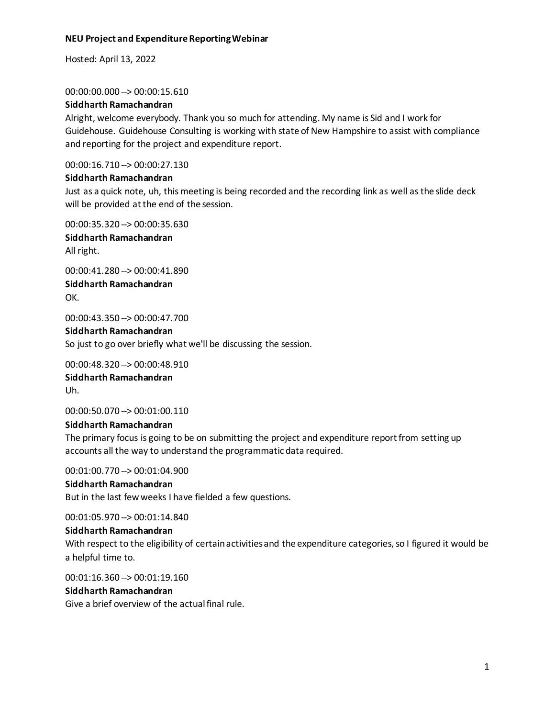Hosted: April 13, 2022

#### 00:00:00.000 --> 00:00:15.610

# **Siddharth Ramachandran**

Alright, welcome everybody. Thank you so much for attending. My name is Sid and I work for Guidehouse. Guidehouse Consulting is working with state of New Hampshire to assist with compliance and reporting for the project and expenditure report.

00:00:16.710 --> 00:00:27.130

# **Siddharth Ramachandran**

Just as a quick note, uh, this meeting is being recorded and the recording link as well as the slide deck will be provided at the end of the session.

00:00:35.320 --> 00:00:35.630 **Siddharth Ramachandran** All right.

00:00:41.280 --> 00:00:41.890 **Siddharth Ramachandran** OK.

00:00:43.350 --> 00:00:47.700

**Siddharth Ramachandran** So just to go over briefly what we'll be discussing the session.

00:00:48.320 --> 00:00:48.910 **Siddharth Ramachandran** Uh.

00:00:50.070 --> 00:01:00.110

# **Siddharth Ramachandran**

The primary focus is going to be on submitting the project and expenditure report from setting up accounts all the way to understand the programmatic data required.

00:01:00.770 --> 00:01:04.900 **Siddharth Ramachandran** But in the last few weeks I have fielded a few questions.

00:01:05.970 --> 00:01:14.840

# **Siddharth Ramachandran**

With respect to the eligibility of certain activities and the expenditure categories, so I figured it would be a helpful time to.

00:01:16.360 --> 00:01:19.160

# **Siddharth Ramachandran**

Give a brief overview of the actual final rule.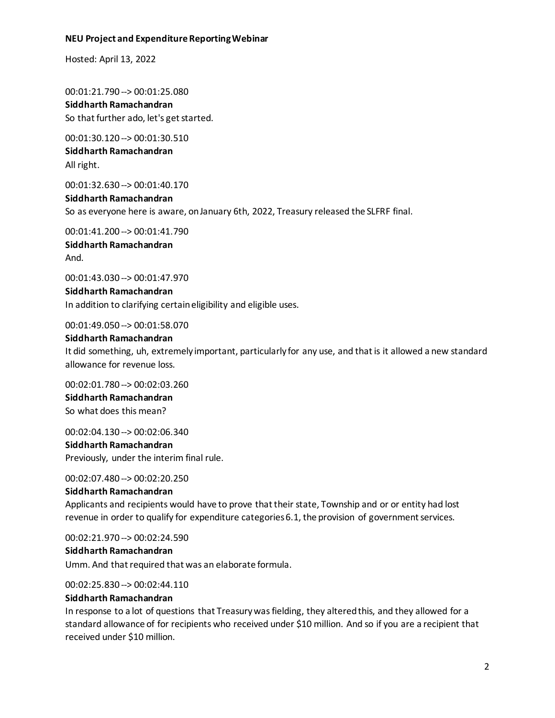Hosted: April 13, 2022

00:01:21.790 --> 00:01:25.080 **Siddharth Ramachandran** So that further ado, let's get started.

00:01:30.120 --> 00:01:30.510 **Siddharth Ramachandran** All right.

00:01:32.630 --> 00:01:40.170

**Siddharth Ramachandran** So as everyone here is aware, on January 6th, 2022, Treasury released the SLFRF final.

00:01:41.200 --> 00:01:41.790 **Siddharth Ramachandran** And.

00:01:43.030 --> 00:01:47.970

**Siddharth Ramachandran** In addition to clarifying certain eligibility and eligible uses.

00:01:49.050 --> 00:01:58.070

## **Siddharth Ramachandran**

It did something, uh, extremely important, particularly for any use, and that is it allowed a new standard allowance for revenue loss.

00:02:01.780 --> 00:02:03.260 **Siddharth Ramachandran** So what does this mean?

00:02:04.130 --> 00:02:06.340 **Siddharth Ramachandran** Previously, under the interim final rule.

00:02:07.480 --> 00:02:20.250

#### **Siddharth Ramachandran**

Applicants and recipients would have to prove that their state, Township and or or entity had lost revenue in order to qualify for expenditure categories 6.1, the provision of government services.

00:02:21.970 --> 00:02:24.590

#### **Siddharth Ramachandran**

Umm. And that required that was an elaborate formula.

00:02:25.830 --> 00:02:44.110

# **Siddharth Ramachandran**

In response to a lot of questions that Treasury was fielding, they altered this, and they allowed for a standard allowance of for recipients who received under \$10 million. And so if you are a recipient that received under \$10 million.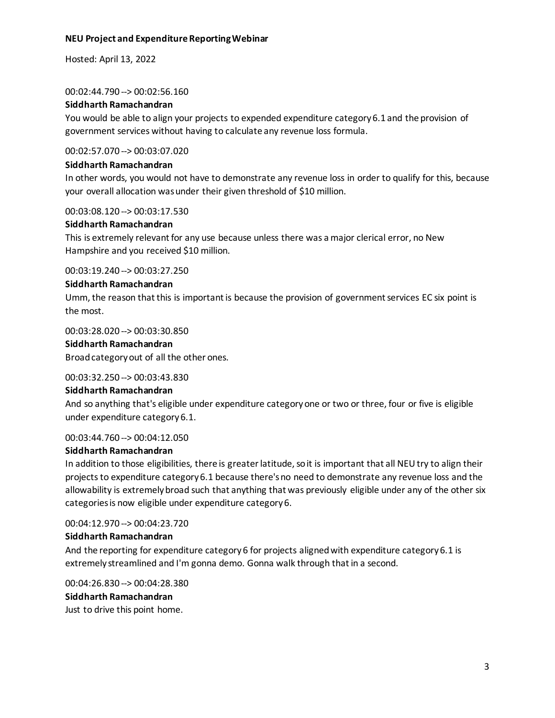Hosted: April 13, 2022

00:02:44.790 --> 00:02:56.160

#### **Siddharth Ramachandran**

You would be able to align your projects to expended expenditure category 6.1 and the provision of government services without having to calculate any revenue loss formula.

00:02:57.070 --> 00:03:07.020

#### **Siddharth Ramachandran**

In other words, you would not have to demonstrate any revenue loss in order to qualify for this, because your overall allocation was under their given threshold of \$10 million.

00:03:08.120 --> 00:03:17.530

#### **Siddharth Ramachandran**

This is extremely relevant for any use because unless there was a major clerical error, no New Hampshire and you received \$10 million.

00:03:19.240 --> 00:03:27.250

#### **Siddharth Ramachandran**

Umm, the reason that this is important is because the provision of government services EC six point is the most.

00:03:28.020 --> 00:03:30.850

#### **Siddharth Ramachandran**

Broad category out of all the other ones.

#### 00:03:32.250 --> 00:03:43.830

#### **Siddharth Ramachandran**

And so anything that's eligible under expenditure category one or two or three, four or five is eligible under expenditure category 6.1.

00:03:44.760 --> 00:04:12.050

#### **Siddharth Ramachandran**

In addition to those eligibilities, there is greater latitude, so it is important that all NEU try to align their projects to expenditure category 6.1 because there's no need to demonstrate any revenue loss and the allowability is extremely broad such that anything that was previously eligible under any of the other six categories is now eligible under expenditure category 6.

00:04:12.970 --> 00:04:23.720

#### **Siddharth Ramachandran**

And the reporting for expenditure category 6 for projects aligned with expenditure category 6.1 is extremely streamlined and I'm gonna demo. Gonna walk through that in a second.

00:04:26.830 --> 00:04:28.380 **Siddharth Ramachandran** Just to drive this point home.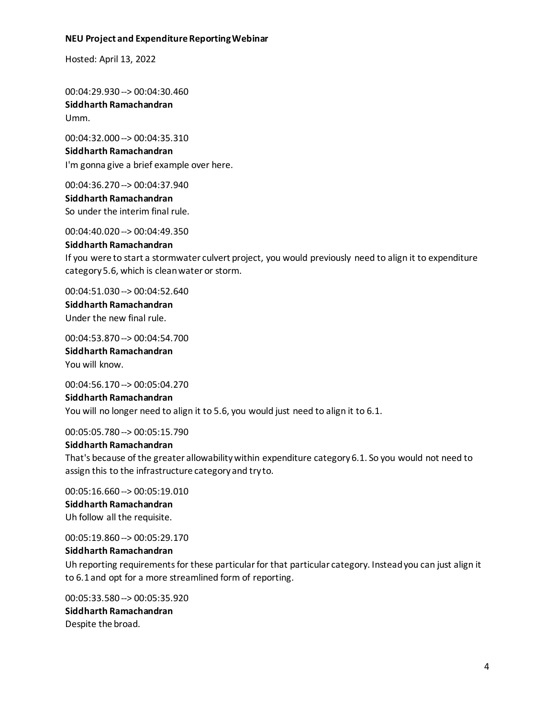Hosted: April 13, 2022

00:04:29.930 --> 00:04:30.460 **Siddharth Ramachandran** Umm.

00:04:32.000 --> 00:04:35.310 **Siddharth Ramachandran** I'm gonna give a brief example over here.

00:04:36.270 --> 00:04:37.940 **Siddharth Ramachandran** So under the interim final rule.

00:04:40.020 --> 00:04:49.350

**Siddharth Ramachandran** If you were to start a stormwater culvert project, you would previously need to align it to expenditure category 5.6, which is clean water or storm.

00:04:51.030 --> 00:04:52.640 **Siddharth Ramachandran** Under the new final rule.

00:04:53.870 --> 00:04:54.700

**Siddharth Ramachandran** You will know.

00:04:56.170 --> 00:05:04.270 **Siddharth Ramachandran** You will no longer need to align it to 5.6, you would just need to align it to 6.1.

00:05:05.780 --> 00:05:15.790

#### **Siddharth Ramachandran**

That's because of the greater allowability within expenditure category 6.1. So you would not need to assign this to the infrastructure category and try to.

00:05:16.660 --> 00:05:19.010 **Siddharth Ramachandran** Uh follow all the requisite.

00:05:19.860 --> 00:05:29.170

#### **Siddharth Ramachandran**

Uh reporting requirements for these particular for that particular category. Instead you can just align it to 6.1 and opt for a more streamlined form of reporting.

00:05:33.580 --> 00:05:35.920 **Siddharth Ramachandran** Despite the broad.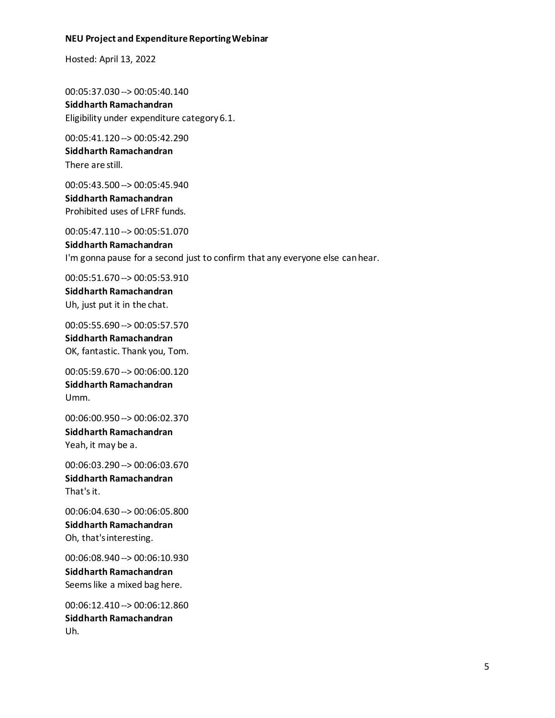Hosted: April 13, 2022

00:05:37.030 --> 00:05:40.140 **Siddharth Ramachandran** Eligibility under expenditure category 6.1.

00:05:41.120 --> 00:05:42.290 **Siddharth Ramachandran** There are still.

00:05:43.500 --> 00:05:45.940 **Siddharth Ramachandran** Prohibited uses of LFRF funds.

00:05:47.110 --> 00:05:51.070 **Siddharth Ramachandran** I'm gonna pause for a second just to confirm that any everyone else can hear.

00:05:51.670 --> 00:05:53.910 **Siddharth Ramachandran** Uh, just put it in the chat.

00:05:55.690 --> 00:05:57.570 **Siddharth Ramachandran** OK, fantastic. Thank you, Tom.

00:05:59.670 --> 00:06:00.120 **Siddharth Ramachandran** Umm.

00:06:00.950 --> 00:06:02.370 **Siddharth Ramachandran** Yeah, it may be a.

00:06:03.290 --> 00:06:03.670 **Siddharth Ramachandran** That's it.

00:06:04.630 --> 00:06:05.800 **Siddharth Ramachandran** Oh, that's interesting.

00:06:08.940 --> 00:06:10.930 **Siddharth Ramachandran** Seems like a mixed bag here.

00:06:12.410 --> 00:06:12.860 **Siddharth Ramachandran** Uh.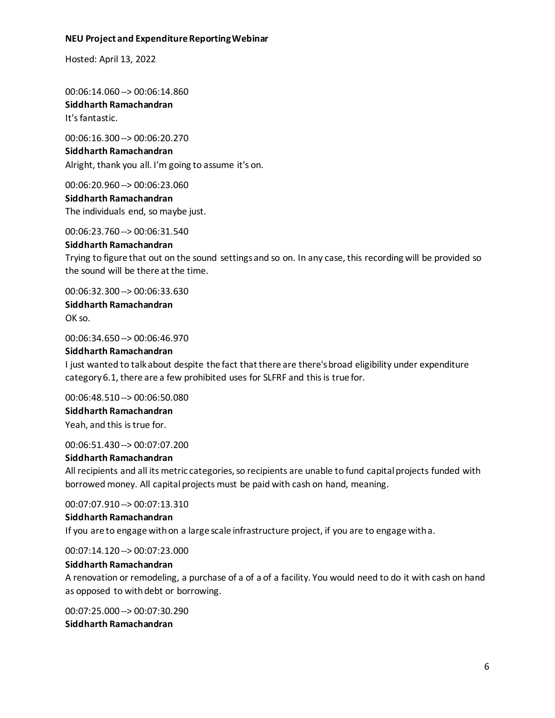Hosted: April 13, 2022

00:06:14.060 --> 00:06:14.860 **Siddharth Ramachandran** It's fantastic.

00:06:16.300 --> 00:06:20.270 **Siddharth Ramachandran** Alright, thank you all. I'm going to assume it's on.

00:06:20.960 --> 00:06:23.060 **Siddharth Ramachandran**

The individuals end, so maybe just.

00:06:23.760 --> 00:06:31.540

#### **Siddharth Ramachandran**

Trying to figure that out on the sound settings and so on. In any case, this recording will be provided so the sound will be there at the time.

00:06:32.300 --> 00:06:33.630 **Siddharth Ramachandran** OK so.

00:06:34.650 --> 00:06:46.970

#### **Siddharth Ramachandran**

I just wanted to talk about despite the fact that there are there's broad eligibility under expenditure category 6.1, there are a few prohibited uses for SLFRF and this is true for.

00:06:48.510 --> 00:06:50.080 **Siddharth Ramachandran** Yeah, and this is true for.

00:06:51.430 --> 00:07:07.200

## **Siddharth Ramachandran**

All recipients and all its metric categories, so recipients are unable to fund capital projects funded with borrowed money. All capital projects must be paid with cash on hand, meaning.

00:07:07.910 --> 00:07:13.310

**Siddharth Ramachandran**

If you are to engage with on a large scale infrastructure project, if you are to engage with a.

00:07:14.120 --> 00:07:23.000

#### **Siddharth Ramachandran**

A renovation or remodeling, a purchase of a of a of a facility. You would need to do it with cash on hand as opposed to with debt or borrowing.

00:07:25.000 --> 00:07:30.290 **Siddharth Ramachandran**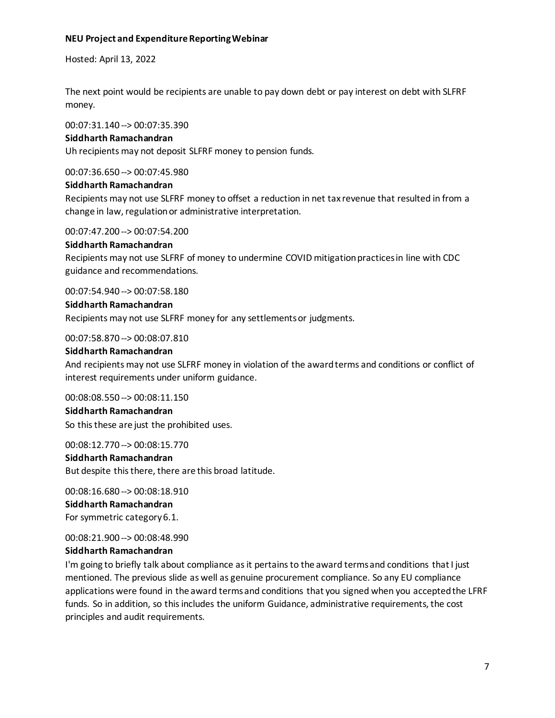Hosted: April 13, 2022

The next point would be recipients are unable to pay down debt or pay interest on debt with SLFRF money.

00:07:31.140 --> 00:07:35.390

#### **Siddharth Ramachandran**

Uh recipients may not deposit SLFRF money to pension funds.

00:07:36.650 --> 00:07:45.980

#### **Siddharth Ramachandran**

Recipients may not use SLFRF money to offset a reduction in net tax revenue that resulted in from a change in law, regulation or administrative interpretation.

00:07:47.200 --> 00:07:54.200

#### **Siddharth Ramachandran**

Recipients may not use SLFRF of money to undermine COVID mitigation practices in line with CDC guidance and recommendations.

00:07:54.940 --> 00:07:58.180

#### **Siddharth Ramachandran**

Recipients may not use SLFRF money for any settlements or judgments.

00:07:58.870 --> 00:08:07.810

#### **Siddharth Ramachandran**

And recipients may not use SLFRF money in violation of the award terms and conditions or conflict of interest requirements under uniform guidance.

00:08:08.550 --> 00:08:11.150

**Siddharth Ramachandran** So this these are just the prohibited uses.

00:08:12.770 --> 00:08:15.770 **Siddharth Ramachandran** But despite this there, there are this broad latitude.

00:08:16.680 --> 00:08:18.910 **Siddharth Ramachandran** For symmetric category 6.1.

00:08:21.900 --> 00:08:48.990

#### **Siddharth Ramachandran**

I'm going to briefly talk about compliance as it pertains to the award terms and conditions that I just mentioned. The previous slide as well as genuine procurement compliance. So any EU compliance applications were found in the award terms and conditions that you signed when you accepted the LFRF funds. So in addition, so this includes the uniform Guidance, administrative requirements, the cost principles and audit requirements.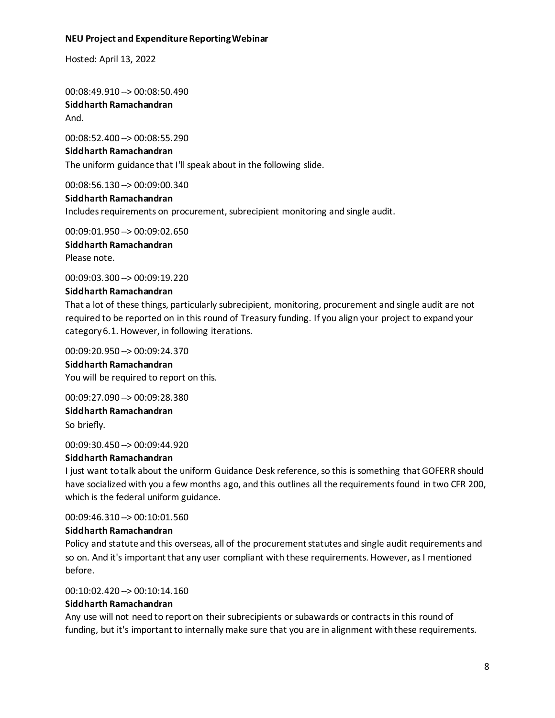Hosted: April 13, 2022

00:08:49.910 --> 00:08:50.490 **Siddharth Ramachandran** And.

00:08:52.400 --> 00:08:55.290 **Siddharth Ramachandran** The uniform guidance that I'll speak about in the following slide.

00:08:56.130 --> 00:09:00.340

#### **Siddharth Ramachandran**

Includes requirements on procurement, subrecipient monitoring and single audit.

00:09:01.950 --> 00:09:02.650 **Siddharth Ramachandran** Please note.

00:09:03.300 --> 00:09:19.220

#### **Siddharth Ramachandran**

That a lot of these things, particularly subrecipient, monitoring, procurement and single audit are not required to be reported on in this round of Treasury funding. If you align your project to expand your category 6.1. However, in following iterations.

00:09:20.950 --> 00:09:24.370 **Siddharth Ramachandran** You will be required to report on this.

00:09:27.090 --> 00:09:28.380 **Siddharth Ramachandran** So briefly.

00:09:30.450 --> 00:09:44.920

#### **Siddharth Ramachandran**

I just want to talk about the uniform Guidance Desk reference, so this is something that GOFERR should have socialized with you a few months ago, and this outlines all the requirements found in two CFR 200, which is the federal uniform guidance.

00:09:46.310 --> 00:10:01.560

#### **Siddharth Ramachandran**

Policy and statute and this overseas, all of the procurement statutes and single audit requirements and so on. And it's important that any user compliant with these requirements. However, as I mentioned before.

00:10:02.420 --> 00:10:14.160

#### **Siddharth Ramachandran**

Any use will not need to report on their subrecipients or subawards or contracts in this round of funding, but it's important to internally make sure that you are in alignment with these requirements.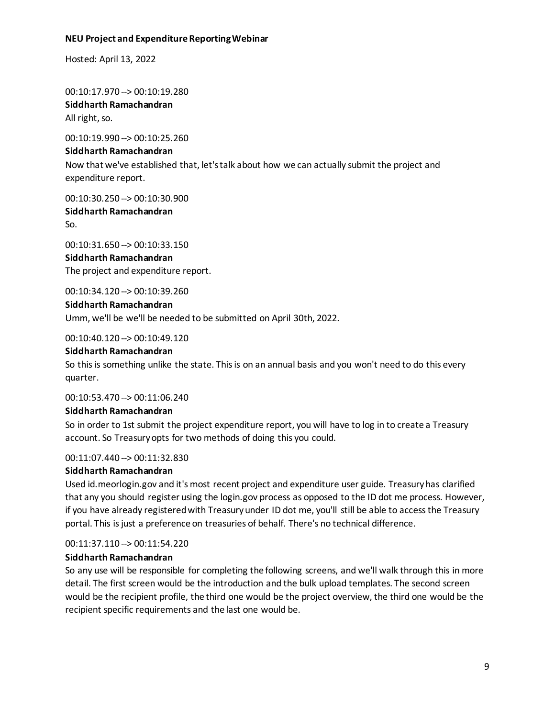Hosted: April 13, 2022

00:10:17.970 --> 00:10:19.280 **Siddharth Ramachandran** All right, so.

00:10:19.990 --> 00:10:25.260 **Siddharth Ramachandran** Now that we've established that, let's talk about how we can actually submit the project and expenditure report.

00:10:30.250 --> 00:10:30.900 **Siddharth Ramachandran**

So.

00:10:31.650 --> 00:10:33.150 **Siddharth Ramachandran** The project and expenditure report.

00:10:34.120 --> 00:10:39.260

#### **Siddharth Ramachandran**

Umm, we'll be we'll be needed to be submitted on April 30th, 2022.

00:10:40.120 --> 00:10:49.120

#### **Siddharth Ramachandran**

So this is something unlike the state. This is on an annual basis and you won't need to do this every quarter.

00:10:53.470 --> 00:11:06.240

#### **Siddharth Ramachandran**

So in order to 1st submit the project expenditure report, you will have to log in to create a Treasury account. So Treasury opts for two methods of doing this you could.

#### 00:11:07.440 --> 00:11:32.830

#### **Siddharth Ramachandran**

Used id.meorlogin.gov and it's most recent project and expenditure user guide. Treasury has clarified that any you should register using the login.gov process as opposed to the ID dot me process. However, if you have already registered with Treasury under ID dot me, you'll still be able to access the Treasury portal. This is just a preference on treasuries of behalf. There's no technical difference.

00:11:37.110 --> 00:11:54.220

#### **Siddharth Ramachandran**

So any use will be responsible for completing the following screens, and we'll walk through this in more detail. The first screen would be the introduction and the bulk upload templates. The second screen would be the recipient profile, the third one would be the project overview, the third one would be the recipient specific requirements and the last one would be.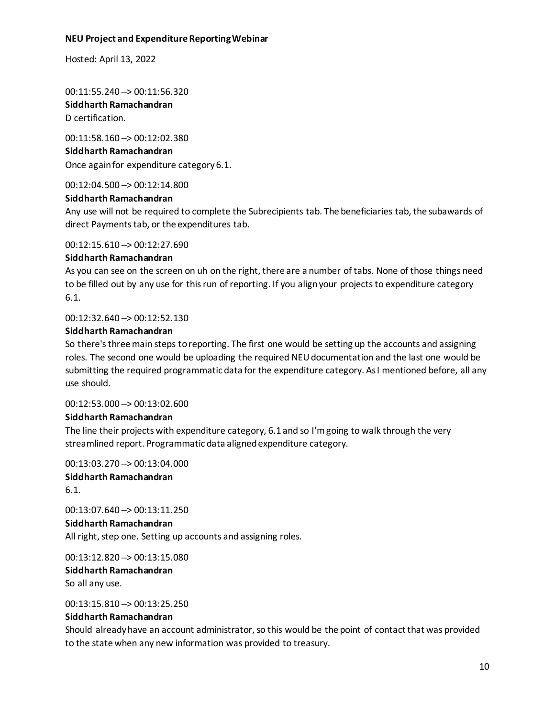Hosted: April 13, 2022

00:11:55.240 --> 00:11:56.320 **Siddharth Ramachandran**

D certification.

00:11:58.160 --> 00:12:02.380 **Siddharth Ramachandran** Once again for expenditure category 6.1.

00:12:04.500 --> 00:12:14.800

#### **Siddharth Ramachandran**

Any use will not be required to complete the Subrecipients tab. The beneficiaries tab, the subawards of direct Payments tab, or the expenditures tab.

00:12:15.610 --> 00:12:27.690

#### **Siddharth Ramachandran**

As you can see on the screen on uh on the right, there are a number of tabs. None of those things need to be filled out by any use for this run of reporting. If you align your projects to expenditure category 6.1.

#### 00:12:32.640 --> 00:12:52.130

#### **Siddharth Ramachandran**

So there's three main steps to reporting. The first one would be setting up the accounts and assigning roles. The second one would be uploading the required NEU documentation and the last one would be submitting the required programmatic data for the expenditure category. As I mentioned before, all any use should.

00:12:53.000 --> 00:13:02.600

#### **Siddharth Ramachandran**

The line their projects with expenditure category, 6.1 and so I'm going to walk through the very streamlined report. Programmatic data aligned expenditure category.

00:13:03.270 --> 00:13:04.000 **Siddharth Ramachandran** 6.1.

00:13:07.640 --> 00:13:11.250 **Siddharth Ramachandran** All right, step one. Setting up accounts and assigning roles.

00:13:12.820 --> 00:13:15.080 **Siddharth Ramachandran** So all any use.

00:13:15.810 --> 00:13:25.250

#### **Siddharth Ramachandran**

Should already have an account administrator, so this would be the point of contact that was provided to the state when any new information was provided to treasury.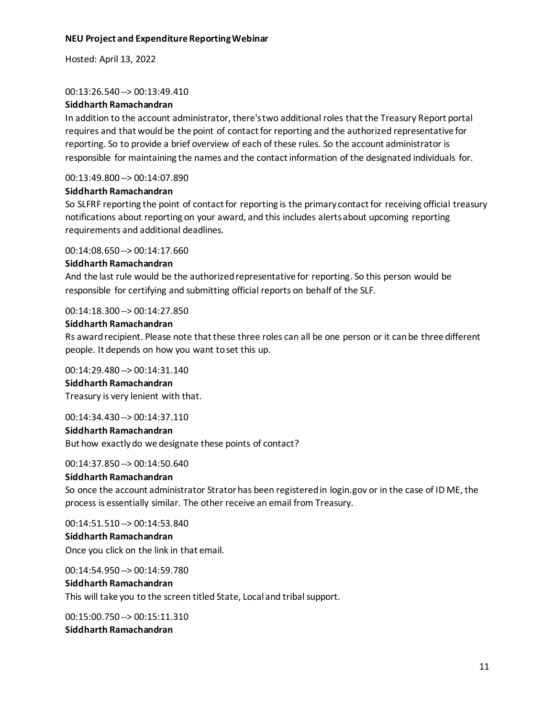Hosted: April 13, 2022

## 00:13:26.540 --> 00:13:49.410

# **Siddharth Ramachandran**

In addition to the account administrator, there's two additional roles that the Treasury Report portal requires and that would be the point of contact for reporting and the authorized representative for reporting. So to provide a brief overview of each of these rules. So the account administrator is responsible for maintaining the names and the contact information of the designated individuals for.

# 00:13:49.800 --> 00:14:07.890

# **Siddharth Ramachandran**

So SLFRF reporting the point of contact for reporting is the primary contact for receiving official treasury notifications about reporting on your award, and this includes alerts about upcoming reporting requirements and additional deadlines.

00:14:08.650 --> 00:14:17.660

# **Siddharth Ramachandran**

And the last rule would be the authorized representative for reporting. So this person would be responsible for certifying and submitting official reports on behalf of the SLF.

# 00:14:18.300 --> 00:14:27.850

# **Siddharth Ramachandran**

Rs award recipient. Please note that these three roles can all be one person or it can be three different people. It depends on how you want to set this up.

## 00:14:29.480 --> 00:14:31.140

**Siddharth Ramachandran** Treasury is very lenient with that.

#### 00:14:34.430 --> 00:14:37.110

#### **Siddharth Ramachandran**

But how exactly do we designate these points of contact?

# 00:14:37.850 --> 00:14:50.640

#### **Siddharth Ramachandran**

So once the account administrator Strator has been registered in login.gov or in the case of ID ME, the process is essentially similar. The other receive an email from Treasury.

#### 00:14:51.510 --> 00:14:53.840

#### **Siddharth Ramachandran**

Once you click on the link in that email.

00:14:54.950 --> 00:14:59.780

# **Siddharth Ramachandran**

This will take you to the screen titled State, Local and tribal support.

00:15:00.750 --> 00:15:11.310 **Siddharth Ramachandran**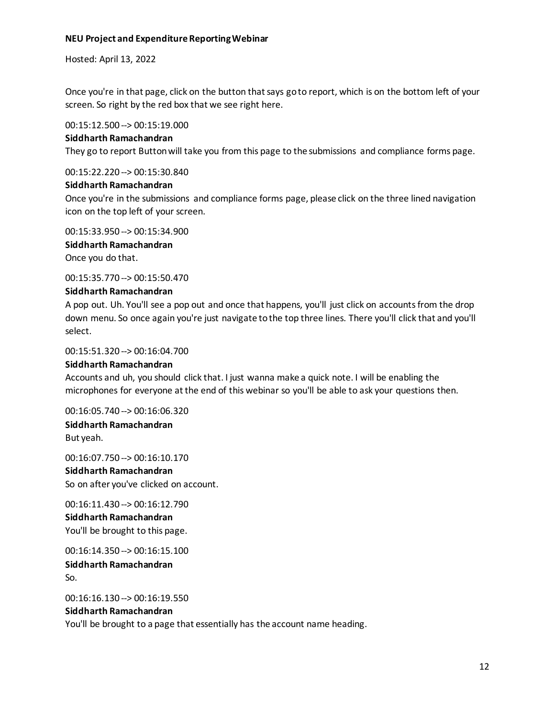Hosted: April 13, 2022

Once you're in that page, click on the button that says go to report, which is on the bottom left of your screen. So right by the red box that we see right here.

00:15:12.500 --> 00:15:19.000

#### **Siddharth Ramachandran**

They go to report Button will take you from this page to the submissions and compliance forms page.

00:15:22.220 --> 00:15:30.840

#### **Siddharth Ramachandran**

Once you're in the submissions and compliance forms page, please click on the three lined navigation icon on the top left of your screen.

00:15:33.950 --> 00:15:34.900 **Siddharth Ramachandran** Once you do that.

00:15:35.770 --> 00:15:50.470

#### **Siddharth Ramachandran**

A pop out. Uh. You'll see a pop out and once that happens, you'll just click on accounts from the drop down menu. So once again you're just navigate to the top three lines. There you'll click that and you'll select.

00:15:51.320 --> 00:16:04.700

#### **Siddharth Ramachandran**

Accounts and uh, you should click that. I just wanna make a quick note. I will be enabling the microphones for everyone at the end of this webinar so you'll be able to ask your questions then.

00:16:05.740 --> 00:16:06.320 **Siddharth Ramachandran** But yeah.

00:16:07.750 --> 00:16:10.170 **Siddharth Ramachandran** So on after you've clicked on account.

00:16:11.430 --> 00:16:12.790 **Siddharth Ramachandran** You'll be brought to this page.

00:16:14.350 --> 00:16:15.100 **Siddharth Ramachandran** So.

00:16:16.130 --> 00:16:19.550

#### **Siddharth Ramachandran**

You'll be brought to a page that essentially has the account name heading.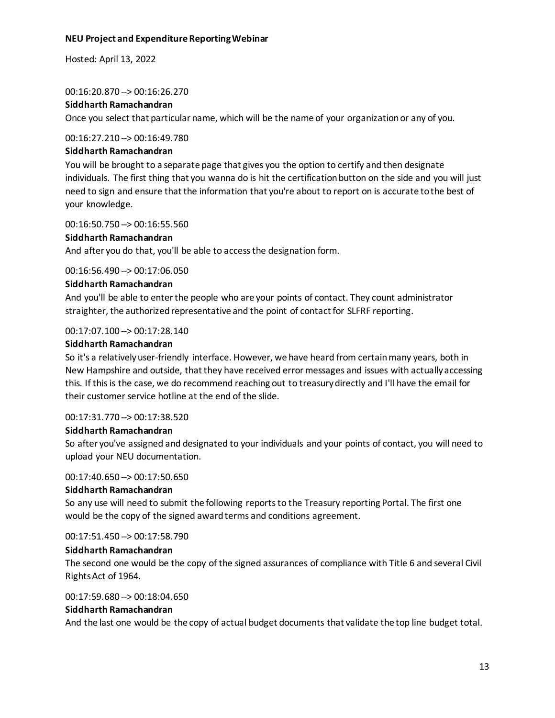Hosted: April 13, 2022

00:16:20.870 --> 00:16:26.270

#### **Siddharth Ramachandran**

Once you select that particular name, which will be the name of your organization or any of you.

#### 00:16:27.210 --> 00:16:49.780

#### **Siddharth Ramachandran**

You will be brought to a separate page that gives you the option to certify and then designate individuals. The first thing that you wanna do is hit the certification button on the side and you will just need to sign and ensure that the information that you're about to report on is accurate to the best of your knowledge.

#### 00:16:50.750 --> 00:16:55.560

# **Siddharth Ramachandran**

And after you do that, you'll be able to access the designation form.

00:16:56.490 --> 00:17:06.050

#### **Siddharth Ramachandran**

And you'll be able to enter the people who are your points of contact. They count administrator straighter, the authorized representative and the point of contact for SLFRF reporting.

# 00:17:07.100 --> 00:17:28.140

# **Siddharth Ramachandran**

So it's a relatively user-friendly interface. However, we have heard from certain many years, both in New Hampshire and outside, that they have received error messages and issues with actually accessing this. If this is the case, we do recommend reaching out to treasury directly and I'll have the email for their customer service hotline at the end of the slide.

# 00:17:31.770 --> 00:17:38.520

# **Siddharth Ramachandran**

So after you've assigned and designated to your individuals and your points of contact, you will need to upload your NEU documentation.

#### 00:17:40.650 --> 00:17:50.650

# **Siddharth Ramachandran**

So any use will need to submit the following reports to the Treasury reporting Portal. The first one would be the copy of the signed award terms and conditions agreement.

00:17:51.450 --> 00:17:58.790

#### **Siddharth Ramachandran**

The second one would be the copy of the signed assurances of compliance with Title 6 and several Civil Rights Act of 1964.

#### 00:17:59.680 --> 00:18:04.650

#### **Siddharth Ramachandran**

And the last one would be the copy of actual budget documents that validate the top line budget total.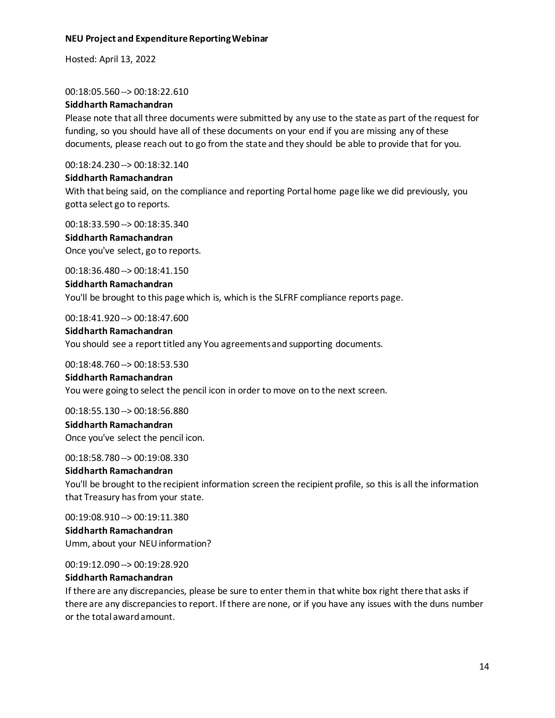Hosted: April 13, 2022

00:18:05.560 --> 00:18:22.610

#### **Siddharth Ramachandran**

Please note that all three documents were submitted by any use to the state as part of the request for funding, so you should have all of these documents on your end if you are missing any of these documents, please reach out to go from the state and they should be able to provide that for you.

00:18:24.230 --> 00:18:32.140

#### **Siddharth Ramachandran**

With that being said, on the compliance and reporting Portal home page like we did previously, you gotta select go to reports.

00:18:33.590 --> 00:18:35.340 **Siddharth Ramachandran** Once you've select, go to reports.

00:18:36.480 --> 00:18:41.150

# **Siddharth Ramachandran**

You'll be brought to this page which is, which is the SLFRF compliance reports page.

00:18:41.920 --> 00:18:47.600

# **Siddharth Ramachandran** You should see a report titled any You agreements and supporting documents.

#### 00:18:48.760 --> 00:18:53.530

# **Siddharth Ramachandran**

You were going to select the pencil icon in order to move on to the next screen.

00:18:55.130 --> 00:18:56.880 **Siddharth Ramachandran** Once you've select the pencil icon.

00:18:58.780 --> 00:19:08.330

#### **Siddharth Ramachandran**

You'll be brought to the recipient information screen the recipient profile, so this is all the information that Treasury has from your state.

00:19:08.910 --> 00:19:11.380 **Siddharth Ramachandran** Umm, about your NEU information?

00:19:12.090 --> 00:19:28.920

#### **Siddharth Ramachandran**

If there are any discrepancies, please be sure to enter them in that white box right there that asks if there are any discrepancies to report. If there are none, or if you have any issues with the duns number or the total award amount.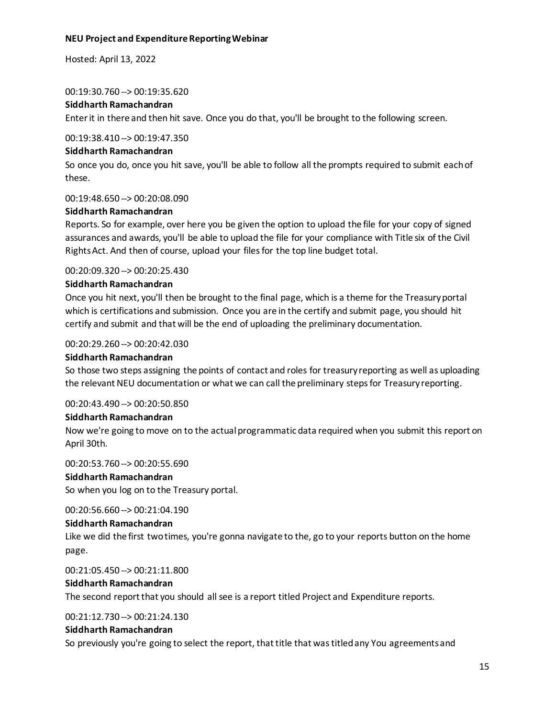Hosted: April 13, 2022

#### 00:19:30.760 --> 00:19:35.620

#### **Siddharth Ramachandran**

Enter it in there and then hit save. Once you do that, you'll be brought to the following screen.

00:19:38.410 --> 00:19:47.350

#### **Siddharth Ramachandran**

So once you do, once you hit save, you'll be able to follow all the prompts required to submit each of these.

00:19:48.650 --> 00:20:08.090

#### **Siddharth Ramachandran**

Reports. So for example, over here you be given the option to upload the file for your copy of signed assurances and awards, you'll be able to upload the file for your compliance with Title six of the Civil Rights Act. And then of course, upload your files for the top line budget total.

#### 00:20:09.320 --> 00:20:25.430

#### **Siddharth Ramachandran**

Once you hit next, you'll then be brought to the final page, which is a theme for the Treasury portal which is certifications and submission. Once you are in the certify and submit page, you should hit certify and submit and that will be the end of uploading the preliminary documentation.

## 00:20:29.260 --> 00:20:42.030

#### **Siddharth Ramachandran**

So those two steps assigning the points of contact and roles for treasury reporting as well as uploading the relevant NEU documentation or what we can call the preliminary steps for Treasury reporting.

#### 00:20:43.490 --> 00:20:50.850

#### **Siddharth Ramachandran**

Now we're going to move on to the actual programmatic data required when you submit this report on April 30th.

00:20:53.760 --> 00:20:55.690

#### **Siddharth Ramachandran**

So when you log on to the Treasury portal.

00:20:56.660 --> 00:21:04.190

#### **Siddharth Ramachandran**

Like we did the first two times, you're gonna navigate to the, go to your reports button on the home page.

00:21:05.450 --> 00:21:11.800

# **Siddharth Ramachandran**

The second report that you should all see is a report titled Project and Expenditure reports.

00:21:12.730 --> 00:21:24.130

#### **Siddharth Ramachandran**

So previously you're going to select the report, that title that was titled any You agreements and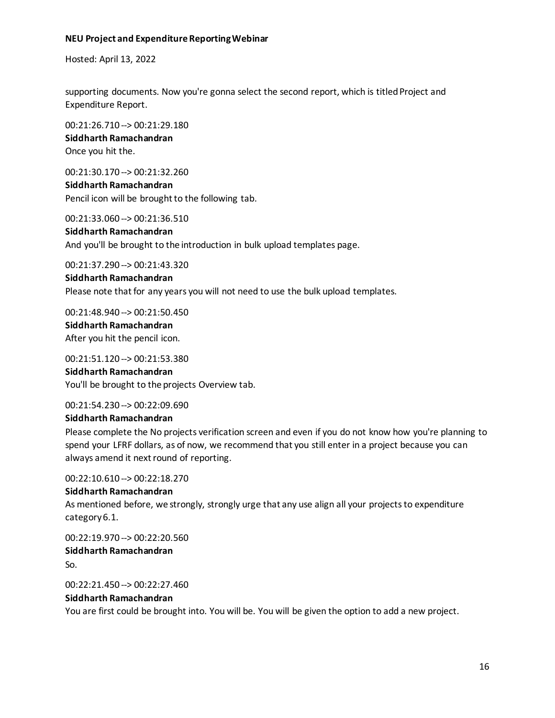Hosted: April 13, 2022

supporting documents. Now you're gonna select the second report, which is titled Project and Expenditure Report.

00:21:26.710 --> 00:21:29.180 **Siddharth Ramachandran** Once you hit the.

00:21:30.170 --> 00:21:32.260 **Siddharth Ramachandran** Pencil icon will be brought to the following tab.

00:21:33.060 --> 00:21:36.510

**Siddharth Ramachandran** And you'll be brought to the introduction in bulk upload templates page.

00:21:37.290 --> 00:21:43.320

**Siddharth Ramachandran** Please note that for any years you will not need to use the bulk upload templates.

00:21:48.940 --> 00:21:50.450 **Siddharth Ramachandran** After you hit the pencil icon.

00:21:51.120 --> 00:21:53.380 **Siddharth Ramachandran** You'll be brought to the projects Overview tab.

00:21:54.230 --> 00:22:09.690

# **Siddharth Ramachandran**

Please complete the No projects verification screen and even if you do not know how you're planning to spend your LFRF dollars, as of now, we recommend that you still enter in a project because you can always amend it next round of reporting.

00:22:10.610 --> 00:22:18.270

#### **Siddharth Ramachandran**

As mentioned before, we strongly, strongly urge that any use align all your projects to expenditure category 6.1.

00:22:19.970 --> 00:22:20.560 **Siddharth Ramachandran** So.

00:22:21.450 --> 00:22:27.460

# **Siddharth Ramachandran**

You are first could be brought into. You will be. You will be given the option to add a new project.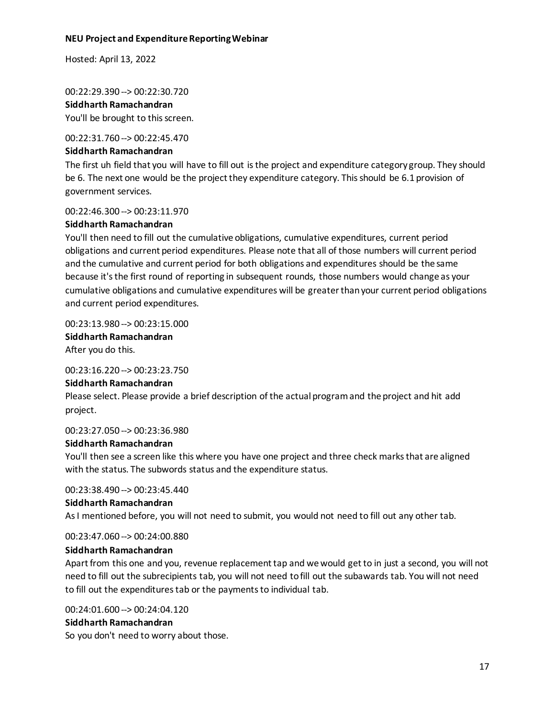Hosted: April 13, 2022

00:22:29.390 --> 00:22:30.720

# **Siddharth Ramachandran**

You'll be brought to this screen.

#### 00:22:31.760 --> 00:22:45.470

# **Siddharth Ramachandran**

The first uh field that you will have to fill out is the project and expenditure category group. They should be 6. The next one would be the project they expenditure category. This should be 6.1 provision of government services.

# 00:22:46.300 --> 00:23:11.970

# **Siddharth Ramachandran**

You'll then need to fill out the cumulative obligations, cumulative expenditures, current period obligations and current period expenditures. Please note that all of those numbers will current period and the cumulative and current period for both obligations and expenditures should be the same because it's the first round of reporting in subsequent rounds, those numbers would change as your cumulative obligations and cumulative expenditures will be greater than your current period obligations and current period expenditures.

# 00:23:13.980 --> 00:23:15.000

**Siddharth Ramachandran** After you do this.

00:23:16.220 --> 00:23:23.750

# **Siddharth Ramachandran**

Please select. Please provide a brief description of the actual program and the project and hit add project.

# 00:23:27.050 --> 00:23:36.980

# **Siddharth Ramachandran**

You'll then see a screen like this where you have one project and three check marks that are aligned with the status. The subwords status and the expenditure status.

00:23:38.490 --> 00:23:45.440

#### **Siddharth Ramachandran**

As I mentioned before, you will not need to submit, you would not need to fill out any other tab.

00:23:47.060 --> 00:24:00.880

# **Siddharth Ramachandran**

Apart from this one and you, revenue replacement tap and we would get to in just a second, you will not need to fill out the subrecipients tab, you will not need to fill out the subawards tab. You will not need to fill out the expenditures tab or the payments to individual tab.

00:24:01.600 --> 00:24:04.120

# **Siddharth Ramachandran**

So you don't need to worry about those.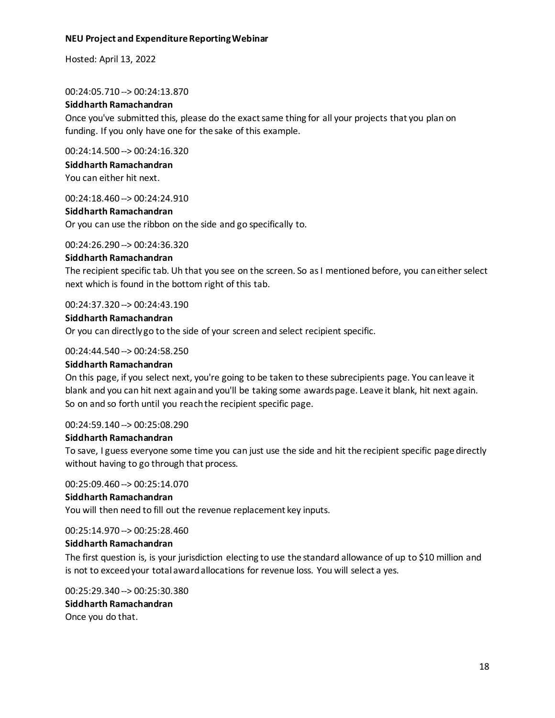Hosted: April 13, 2022

00:24:05.710 --> 00:24:13.870

# **Siddharth Ramachandran**

Once you've submitted this, please do the exact same thing for all your projects that you plan on funding. If you only have one for the sake of this example.

00:24:14.500 --> 00:24:16.320

# **Siddharth Ramachandran**

You can either hit next.

00:24:18.460 --> 00:24:24.910

# **Siddharth Ramachandran**

Or you can use the ribbon on the side and go specifically to.

00:24:26.290 --> 00:24:36.320

#### **Siddharth Ramachandran**

The recipient specific tab. Uh that you see on the screen. So as I mentioned before, you can either select next which is found in the bottom right of this tab.

00:24:37.320 --> 00:24:43.190

#### **Siddharth Ramachandran**

Or you can directly go to the side of your screen and select recipient specific.

#### 00:24:44.540 --> 00:24:58.250

#### **Siddharth Ramachandran**

On this page, if you select next, you're going to be taken to these subrecipients page. You can leave it blank and you can hit next again and you'll be taking some awards page. Leave it blank, hit next again. So on and so forth until you reach the recipient specific page.

#### 00:24:59.140 --> 00:25:08.290

#### **Siddharth Ramachandran**

To save, I guess everyone some time you can just use the side and hit the recipient specific page directly without having to go through that process.

00:25:09.460 --> 00:25:14.070

#### **Siddharth Ramachandran**

You will then need to fill out the revenue replacement key inputs.

00:25:14.970 --> 00:25:28.460

#### **Siddharth Ramachandran**

The first question is, is your jurisdiction electing to use the standard allowance of up to \$10 million and is not to exceed your total award allocations for revenue loss. You will select a yes.

00:25:29.340 --> 00:25:30.380 **Siddharth Ramachandran** Once you do that.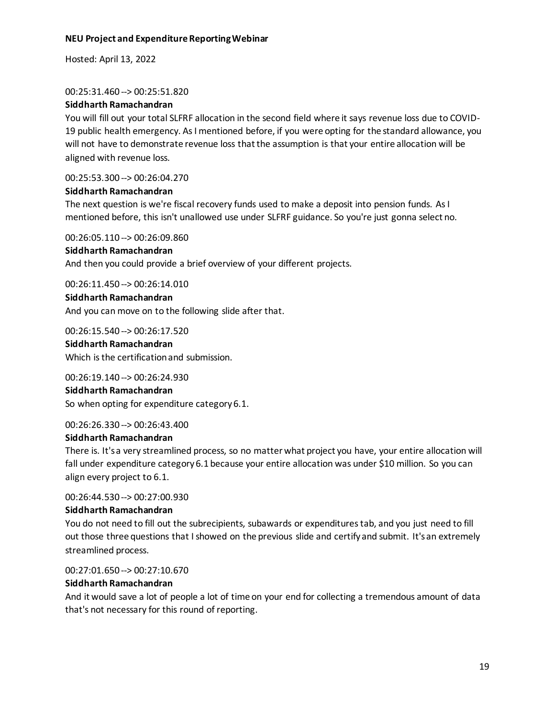Hosted: April 13, 2022

#### 00:25:31.460 --> 00:25:51.820

# **Siddharth Ramachandran**

You will fill out your total SLFRF allocation in the second field where it says revenue loss due to COVID-19 public health emergency. As I mentioned before, if you were opting for the standard allowance, you will not have to demonstrate revenue loss that the assumption is that your entire allocation will be aligned with revenue loss.

00:25:53.300 --> 00:26:04.270

# **Siddharth Ramachandran**

The next question is we're fiscal recovery funds used to make a deposit into pension funds. As I mentioned before, this isn't unallowed use under SLFRF guidance. So you're just gonna select no.

00:26:05.110 --> 00:26:09.860

# **Siddharth Ramachandran**

And then you could provide a brief overview of your different projects.

00:26:11.450 --> 00:26:14.010

# **Siddharth Ramachandran** And you can move on to the following slide after that.

00:26:15.540 --> 00:26:17.520

#### **Siddharth Ramachandran**

Which is the certification and submission.

00:26:19.140 --> 00:26:24.930

#### **Siddharth Ramachandran**

So when opting for expenditure category 6.1.

00:26:26.330 --> 00:26:43.400

#### **Siddharth Ramachandran**

There is. It's a very streamlined process, so no matter what project you have, your entire allocation will fall under expenditure category 6.1 because your entire allocation was under \$10 million. So you can align every project to 6.1.

00:26:44.530 --> 00:27:00.930

#### **Siddharth Ramachandran**

You do not need to fill out the subrecipients, subawards or expenditures tab, and you just need to fill out those three questions that I showed on the previous slide and certifyand submit. It's an extremely streamlined process.

00:27:01.650 --> 00:27:10.670

#### **Siddharth Ramachandran**

And it would save a lot of people a lot of time on your end for collecting a tremendous amount of data that's not necessary for this round of reporting.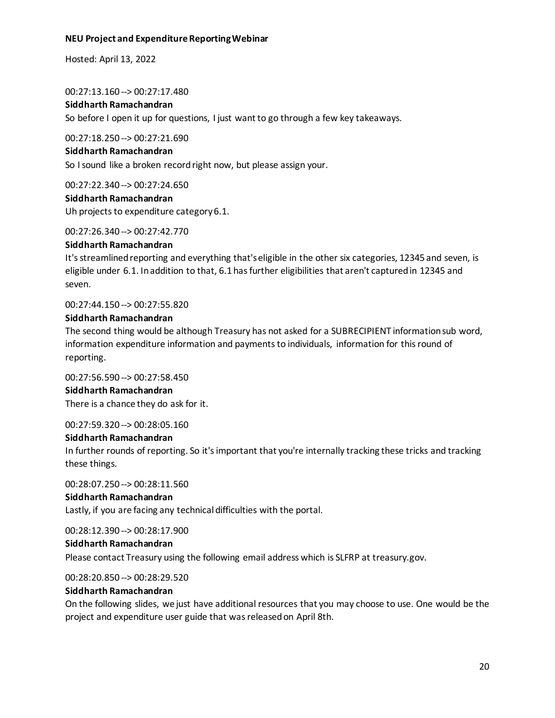Hosted: April 13, 2022

00:27:13.160 --> 00:27:17.480

# **Siddharth Ramachandran**

So before I open it up for questions, I just want to go through a few key takeaways.

00:27:18.250 --> 00:27:21.690

#### **Siddharth Ramachandran**

So I sound like a broken record right now, but please assign your.

00:27:22.340 --> 00:27:24.650

#### **Siddharth Ramachandran**

Uh projects to expenditure category 6.1.

00:27:26.340 --> 00:27:42.770

#### **Siddharth Ramachandran**

It's streamlined reporting and everything that's eligible in the other six categories, 12345 and seven, is eligible under 6.1. In addition to that, 6.1 has further eligibilities that aren't captured in 12345 and seven.

00:27:44.150 --> 00:27:55.820

#### **Siddharth Ramachandran**

The second thing would be although Treasury has not asked for a SUBRECIPIENT information sub word, information expenditure information and payments to individuals, information for this round of reporting.

00:27:56.590 --> 00:27:58.450

#### **Siddharth Ramachandran**

There is a chance they do ask for it.

00:27:59.320 --> 00:28:05.160

#### **Siddharth Ramachandran**

In further rounds of reporting. So it's important that you're internally tracking these tricks and tracking these things.

00:28:07.250 --> 00:28:11.560

#### **Siddharth Ramachandran**

Lastly, if you are facing any technical difficulties with the portal.

00:28:12.390 --> 00:28:17.900

#### **Siddharth Ramachandran**

Please contact Treasury using the following email address which is SLFRP at treasury.gov.

00:28:20.850 --> 00:28:29.520

#### **Siddharth Ramachandran**

On the following slides, we just have additional resources that you may choose to use. One would be the project and expenditure user guide that was released on April 8th.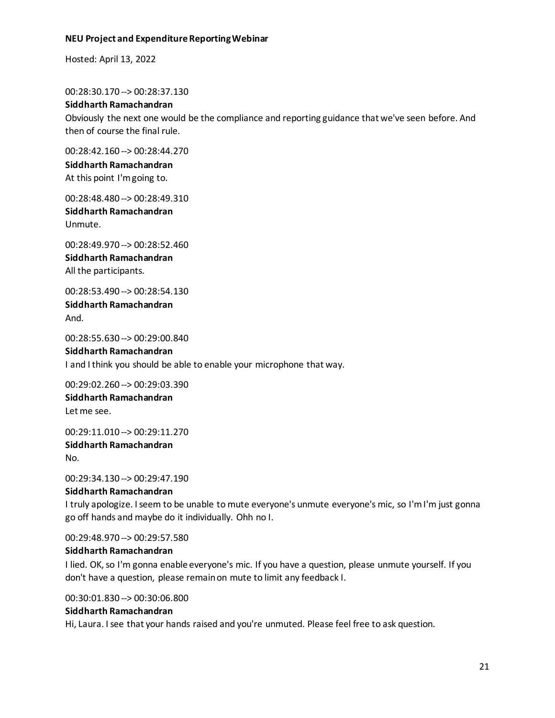Hosted: April 13, 2022

00:28:30.170 --> 00:28:37.130

#### **Siddharth Ramachandran**

Obviously the next one would be the compliance and reporting guidance that we've seen before. And then of course the final rule.

00:28:42.160 --> 00:28:44.270

# **Siddharth Ramachandran** At this point I'm going to.

00:28:48.480 --> 00:28:49.310 **Siddharth Ramachandran** Unmute.

00:28:49.970 --> 00:28:52.460 **Siddharth Ramachandran** All the participants.

00:28:53.490 --> 00:28:54.130 **Siddharth Ramachandran** And.

00:28:55.630 --> 00:29:00.840

#### **Siddharth Ramachandran**

I and I think you should be able to enable your microphone that way.

00:29:02.260 --> 00:29:03.390 **Siddharth Ramachandran** Let me see.

00:29:11.010 --> 00:29:11.270 **Siddharth Ramachandran** No.

00:29:34.130 --> 00:29:47.190

#### **Siddharth Ramachandran**

I truly apologize. I seem to be unable to mute everyone's unmute everyone's mic, so I'm I'm just gonna go off hands and maybe do it individually. Ohh no I.

00:29:48.970 --> 00:29:57.580

#### **Siddharth Ramachandran**

I lied. OK, so I'm gonna enable everyone's mic. If you have a question, please unmute yourself. If you don't have a question, please remain on mute to limit any feedback I.

00:30:01.830 --> 00:30:06.800

#### **Siddharth Ramachandran**

Hi, Laura. I see that your hands raised and you're unmuted. Please feel free to ask question.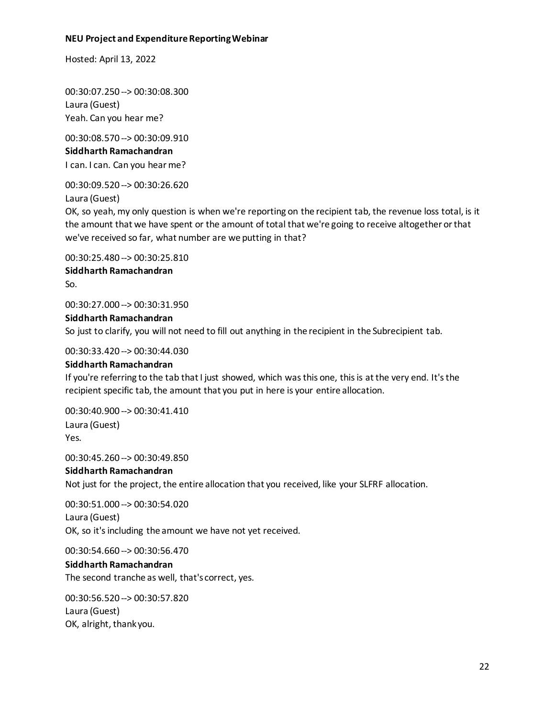Hosted: April 13, 2022

00:30:07.250 --> 00:30:08.300 Laura (Guest) Yeah. Can you hear me?

00:30:08.570 --> 00:30:09.910 **Siddharth Ramachandran** I can. I can. Can you hear me?

00:30:09.520 --> 00:30:26.620

Laura (Guest)

OK, so yeah, my only question is when we're reporting on the recipient tab, the revenue loss total, is it the amount that we have spent or the amount of total that we're going to receive altogether or that we've received so far, what number are we putting in that?

00:30:25.480 --> 00:30:25.810 **Siddharth Ramachandran** So.

00:30:27.000 --> 00:30:31.950

#### **Siddharth Ramachandran**

So just to clarify, you will not need to fill out anything in the recipient in the Subrecipient tab.

00:30:33.420 --> 00:30:44.030

#### **Siddharth Ramachandran**

If you're referring to the tab that I just showed, which was this one, this is at the very end. It's the recipient specific tab, the amount that you put in here is your entire allocation.

00:30:40.900 --> 00:30:41.410 Laura (Guest) Yes.

00:30:45.260 --> 00:30:49.850

#### **Siddharth Ramachandran**

Not just for the project, the entire allocation that you received, like your SLFRF allocation.

00:30:51.000 --> 00:30:54.020 Laura (Guest) OK, so it's including the amount we have not yet received.

00:30:54.660 --> 00:30:56.470

**Siddharth Ramachandran** The second tranche as well, that's correct, yes.

00:30:56.520 --> 00:30:57.820 Laura (Guest) OK, alright, thank you.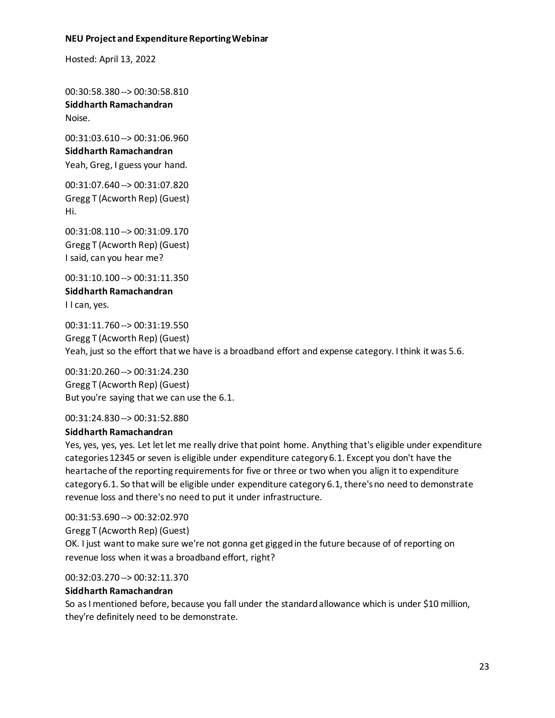Hosted: April 13, 2022

00:30:58.380 --> 00:30:58.810 **Siddharth Ramachandran** Noise.

00:31:03.610 --> 00:31:06.960 **Siddharth Ramachandran** Yeah, Greg, I guess your hand.

00:31:07.640 --> 00:31:07.820 Gregg T (Acworth Rep) (Guest) Hi.

00:31:08.110 --> 00:31:09.170 Gregg T (Acworth Rep) (Guest) I said, can you hear me?

00:31:10.100 --> 00:31:11.350 **Siddharth Ramachandran** I I can, yes.

00:31:11.760 --> 00:31:19.550 Gregg T (Acworth Rep) (Guest) Yeah, just so the effort that we have is a broadband effort and expense category. I think it was 5.6.

00:31:20.260 --> 00:31:24.230 Gregg T (Acworth Rep) (Guest) But you're saying that we can use the 6.1.

00:31:24.830 --> 00:31:52.880

#### **Siddharth Ramachandran**

Yes, yes, yes, yes. Let let let me really drive that point home. Anything that's eligible under expenditure categories 12345 or seven is eligible under expenditure category 6.1. Except you don't have the heartache of the reporting requirements for five or three or two when you align it to expenditure category 6.1. So that will be eligible under expenditure category 6.1, there's no need to demonstrate revenue loss and there's no need to put it under infrastructure.

00:31:53.690 --> 00:32:02.970 Gregg T (Acworth Rep) (Guest) OK. I just want to make sure we're not gonna get gigged in the future because of of reporting on revenue loss when it was a broadband effort, right?

00:32:03.270 --> 00:32:11.370

#### **Siddharth Ramachandran**

So as I mentioned before, because you fall under the standard allowance which is under \$10 million, they're definitely need to be demonstrate.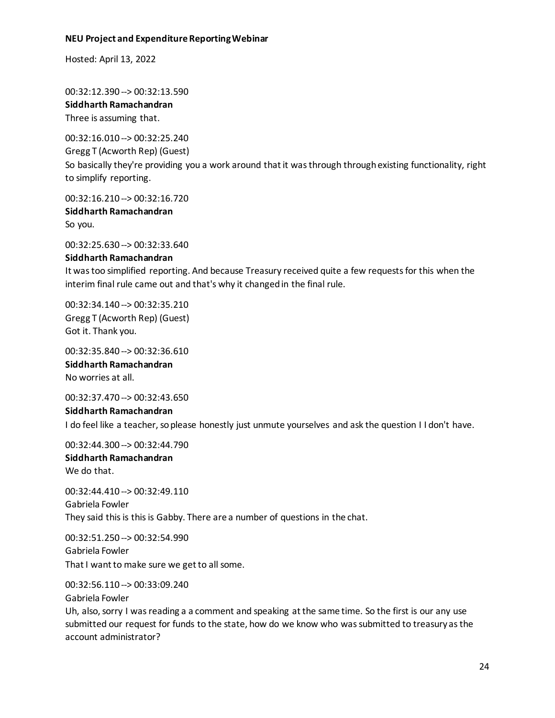Hosted: April 13, 2022

00:32:12.390 --> 00:32:13.590 **Siddharth Ramachandran** Three is assuming that.

00:32:16.010 --> 00:32:25.240 Gregg T (Acworth Rep) (Guest) So basically they're providing you a work around that it was through through existing functionality, right to simplify reporting.

00:32:16.210 --> 00:32:16.720 **Siddharth Ramachandran** So you.

00:32:25.630 --> 00:32:33.640

#### **Siddharth Ramachandran**

It was too simplified reporting. And because Treasury received quite a few requests for this when the interim final rule came out and that's why it changed in the final rule.

00:32:34.140 --> 00:32:35.210 Gregg T (Acworth Rep) (Guest) Got it. Thank you.

00:32:35.840 --> 00:32:36.610 **Siddharth Ramachandran** No worries at all.

00:32:37.470 --> 00:32:43.650 **Siddharth Ramachandran** I do feel like a teacher, soplease honestly just unmute yourselves and ask the question I I don't have.

00:32:44.300 --> 00:32:44.790

**Siddharth Ramachandran** We do that.

00:32:44.410 --> 00:32:49.110 Gabriela Fowler They said this is this is Gabby. There are a number of questions in the chat.

00:32:51.250 --> 00:32:54.990 Gabriela Fowler That I want to make sure we get to all some.

00:32:56.110 --> 00:33:09.240

Gabriela Fowler

Uh, also, sorry I was reading a a comment and speaking at the same time. So the first is our any use submitted our request for funds to the state, how do we know who was submitted to treasury as the account administrator?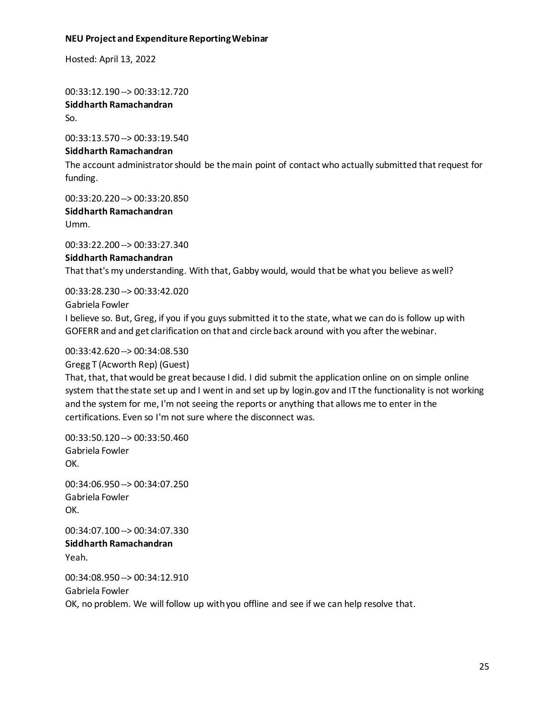Hosted: April 13, 2022

00:33:12.190 --> 00:33:12.720 **Siddharth Ramachandran** So.

00:33:13.570 --> 00:33:19.540

# **Siddharth Ramachandran**

The account administrator should be the main point of contact who actually submitted that request for funding.

00:33:20.220 --> 00:33:20.850

**Siddharth Ramachandran** Umm.

00:33:22.200 --> 00:33:27.340 **Siddharth Ramachandran** That that's my understanding. With that, Gabby would, would that be what you believe as well?

00:33:28.230 --> 00:33:42.020

Gabriela Fowler

I believe so. But, Greg, if you if you guys submitted it to the state, what we can do is follow up with GOFERR and and get clarification on that and circle back around with you after the webinar.

# 00:33:42.620 --> 00:34:08.530

Gregg T (Acworth Rep) (Guest)

That, that, that would be great because I did. I did submit the application online on on simple online system that the state set up and I went in and set up by login.gov and IT the functionality is not working and the system for me, I'm not seeing the reports or anything that allows me to enter in the certifications. Even so I'm not sure where the disconnect was.

00:33:50.120 --> 00:33:50.460 Gabriela Fowler OK.

00:34:06.950 --> 00:34:07.250 Gabriela Fowler OK.

00:34:07.100 --> 00:34:07.330 **Siddharth Ramachandran** Yeah.

00:34:08.950 --> 00:34:12.910 Gabriela Fowler OK, no problem. We will follow up with you offline and see if we can help resolve that.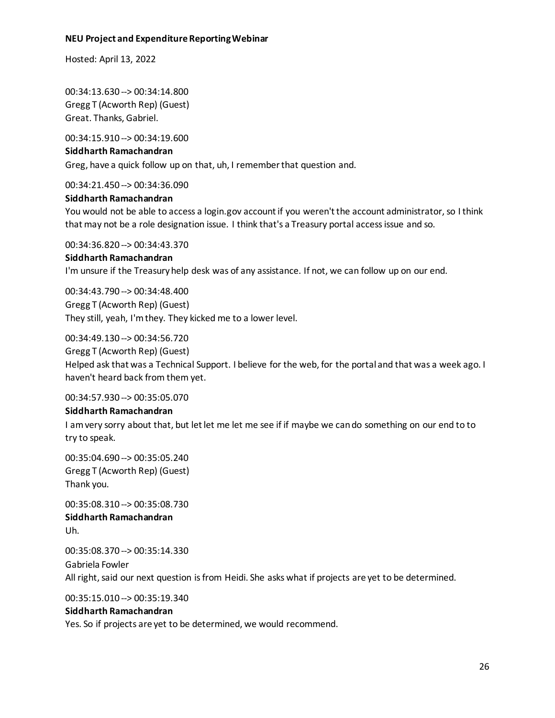Hosted: April 13, 2022

00:34:13.630 --> 00:34:14.800 Gregg T (Acworth Rep) (Guest) Great. Thanks, Gabriel.

00:34:15.910 --> 00:34:19.600 **Siddharth Ramachandran** Greg, have a quick follow up on that, uh, I remember that question and.

00:34:21.450 --> 00:34:36.090

#### **Siddharth Ramachandran**

You would not be able to access a login.gov account if you weren't the account administrator, so I think that may not be a role designation issue. I think that's a Treasury portal access issue and so.

00:34:36.820 --> 00:34:43.370

#### **Siddharth Ramachandran**

I'm unsure if the Treasury help desk was of any assistance. If not, we can follow up on our end.

00:34:43.790 --> 00:34:48.400 Gregg T (Acworth Rep) (Guest) They still, yeah, I'm they. They kicked me to a lower level.

00:34:49.130 --> 00:34:56.720

Gregg T (Acworth Rep) (Guest) Helped ask that was a Technical Support. I believe for the web, for the portal and that was a week ago. I haven't heard back from them yet.

00:34:57.930 --> 00:35:05.070

#### **Siddharth Ramachandran**

I am very sorry about that, but let let me let me see if if maybe we can do something on our end to to try to speak.

00:35:04.690 --> 00:35:05.240 Gregg T (Acworth Rep) (Guest) Thank you.

00:35:08.310 --> 00:35:08.730 **Siddharth Ramachandran** Uh.

00:35:08.370 --> 00:35:14.330 Gabriela Fowler All right, said our next question is from Heidi. She asks what if projects are yet to be determined.

00:35:15.010 --> 00:35:19.340

#### **Siddharth Ramachandran**

Yes. So if projects are yet to be determined, we would recommend.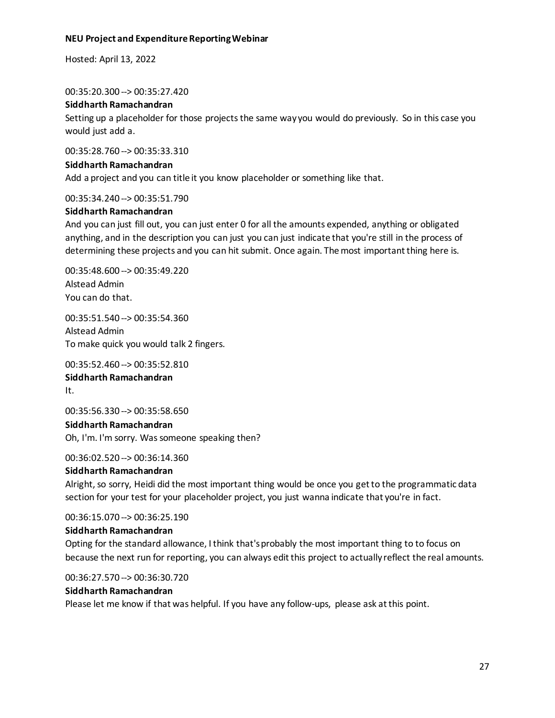Hosted: April 13, 2022

00:35:20.300 --> 00:35:27.420

#### **Siddharth Ramachandran**

Setting up a placeholder for those projects the same way you would do previously. So in this case you would just add a.

00:35:28.760 --> 00:35:33.310

#### **Siddharth Ramachandran**

Add a project and you can title it you know placeholder or something like that.

#### 00:35:34.240 --> 00:35:51.790

#### **Siddharth Ramachandran**

And you can just fill out, you can just enter 0 for all the amounts expended, anything or obligated anything, and in the description you can just you can just indicate that you're still in the process of determining these projects and you can hit submit. Once again. The most important thing here is.

00:35:48.600 --> 00:35:49.220 Alstead Admin You can do that.

00:35:51.540 --> 00:35:54.360 Alstead Admin To make quick you would talk 2 fingers.

00:35:52.460 --> 00:35:52.810 **Siddharth Ramachandran** It.

00:35:56.330 --> 00:35:58.650 **Siddharth Ramachandran** Oh, I'm. I'm sorry. Was someone speaking then?

00:36:02.520 --> 00:36:14.360

#### **Siddharth Ramachandran**

Alright, so sorry, Heidi did the most important thing would be once you get to the programmatic data section for your test for your placeholder project, you just wanna indicate that you're in fact.

00:36:15.070 --> 00:36:25.190

#### **Siddharth Ramachandran**

Opting for the standard allowance, I think that's probably the most important thing to to focus on because the next run for reporting, you can always edit this project to actually reflect the real amounts.

00:36:27.570 --> 00:36:30.720

#### **Siddharth Ramachandran**

Please let me know if that was helpful. If you have any follow-ups, please ask at this point.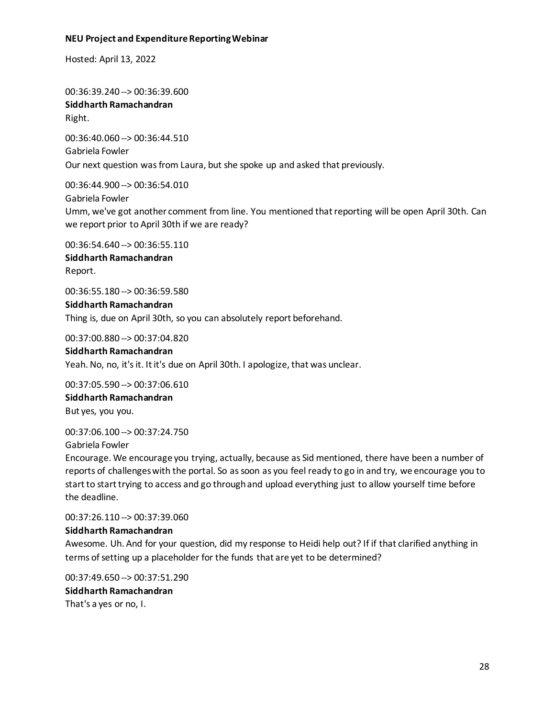Hosted: April 13, 2022

00:36:39.240 --> 00:36:39.600 **Siddharth Ramachandran** Right.

00:36:40.060 --> 00:36:44.510 Gabriela Fowler Our next question was from Laura, but she spoke up and asked that previously.

00:36:44.900 --> 00:36:54.010 Gabriela Fowler Umm, we've got another comment from line. You mentioned that reporting will be open April 30th. Can we report prior to April 30th if we are ready?

00:36:54.640 --> 00:36:55.110 **Siddharth Ramachandran** Report.

00:36:55.180 --> 00:36:59.580 **Siddharth Ramachandran** Thing is, due on April 30th, so you can absolutely report beforehand.

00:37:00.880 --> 00:37:04.820

**Siddharth Ramachandran** Yeah. No, no, it's it. It it's due on April 30th. I apologize, that was unclear.

00:37:05.590 --> 00:37:06.610 **Siddharth Ramachandran** But yes, you you.

00:37:06.100 --> 00:37:24.750

Gabriela Fowler

Encourage. We encourage you trying, actually, because as Sid mentioned, there have been a number of reports of challenges with the portal. So as soon as you feel ready to go in and try, we encourage you to start to start trying to access and go through and upload everything just to allow yourself time before the deadline.

00:37:26.110 --> 00:37:39.060

#### **Siddharth Ramachandran**

Awesome. Uh. And for your question, did my response to Heidi help out? If if that clarified anything in terms of setting up a placeholder for the funds that are yet to be determined?

00:37:49.650 --> 00:37:51.290 **Siddharth Ramachandran** That's a yes or no, I.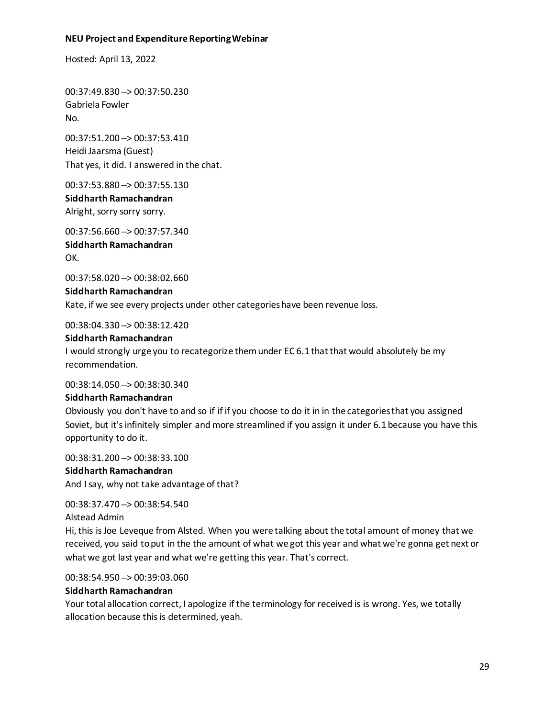Hosted: April 13, 2022

00:37:49.830 --> 00:37:50.230 Gabriela Fowler No.

00:37:51.200 --> 00:37:53.410 Heidi Jaarsma (Guest) That yes, it did. I answered in the chat.

00:37:53.880 --> 00:37:55.130

**Siddharth Ramachandran** Alright, sorry sorry sorry.

00:37:56.660 --> 00:37:57.340 **Siddharth Ramachandran** OK.

00:37:58.020 --> 00:38:02.660

**Siddharth Ramachandran** Kate, if we see every projects under other categories have been revenue loss.

00:38:04.330 --> 00:38:12.420

#### **Siddharth Ramachandran**

I would strongly urge you to recategorize them under EC 6.1 that that would absolutely be my recommendation.

00:38:14.050 --> 00:38:30.340

#### **Siddharth Ramachandran**

Obviously you don't have to and so if if if you choose to do it in in the categories that you assigned Soviet, but it's infinitely simpler and more streamlined if you assign it under 6.1 because you have this opportunity to do it.

00:38:31.200 --> 00:38:33.100

# **Siddharth Ramachandran**

And I say, why not take advantage of that?

00:38:37.470 --> 00:38:54.540

Alstead Admin

Hi, this is Joe Leveque from Alsted. When you were talking about the total amount of money that we received, you said to put in the the amount of what we got this year and what we're gonna get next or what we got last year and what we're getting this year. That's correct.

00:38:54.950 --> 00:39:03.060

#### **Siddharth Ramachandran**

Your total allocation correct, I apologize if the terminology for received is is wrong. Yes, we totally allocation because this is determined, yeah.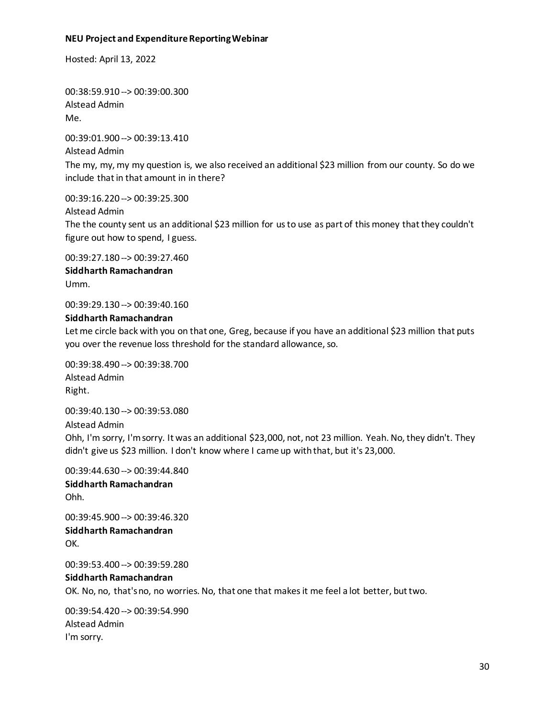Hosted: April 13, 2022

00:38:59.910 --> 00:39:00.300 Alstead Admin Me.

00:39:01.900 --> 00:39:13.410 Alstead Admin The my, my, my my question is, we also received an additional \$23 million from our county. So do we include that in that amount in in there?

00:39:16.220 --> 00:39:25.300 Alstead Admin The the county sent us an additional \$23 million for us to use as part of this money that they couldn't figure out how to spend, I guess.

00:39:27.180 --> 00:39:27.460 **Siddharth Ramachandran** Umm.

00:39:29.130 --> 00:39:40.160

#### **Siddharth Ramachandran**

Let me circle back with you on that one, Greg, because if you have an additional \$23 million that puts you over the revenue loss threshold for the standard allowance, so.

00:39:38.490 --> 00:39:38.700 Alstead Admin Right.

00:39:40.130 --> 00:39:53.080 Alstead Admin Ohh, I'm sorry, I'm sorry. It was an additional \$23,000, not, not 23 million. Yeah. No, they didn't. They didn't give us \$23 million. I don't know where I came up with that, but it's 23,000.

00:39:44.630 --> 00:39:44.840 **Siddharth Ramachandran** Ohh.

00:39:45.900 --> 00:39:46.320 **Siddharth Ramachandran** OK.

00:39:53.400 --> 00:39:59.280 **Siddharth Ramachandran** OK. No, no, that's no, no worries. No, that one that makes it me feel a lot better, but two.

00:39:54.420 --> 00:39:54.990 Alstead Admin I'm sorry.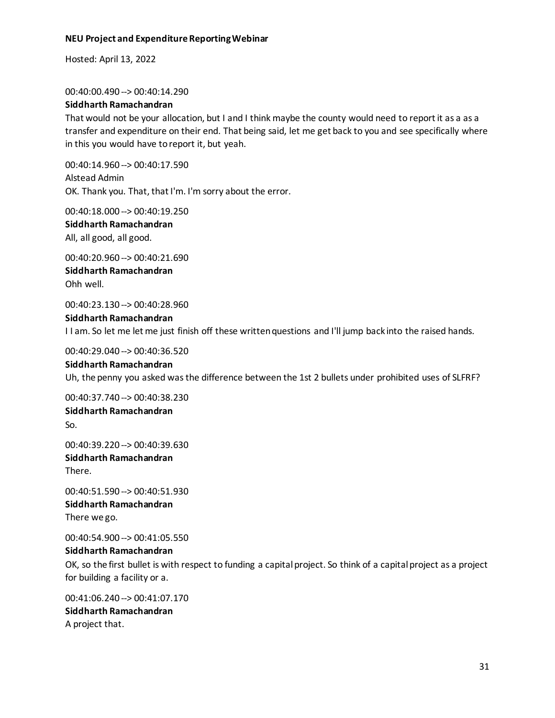Hosted: April 13, 2022

00:40:00.490 --> 00:40:14.290

#### **Siddharth Ramachandran**

That would not be your allocation, but I and I think maybe the county would need to report it as a as a transfer and expenditure on their end. That being said, let me get back to you and see specifically where in this you would have to report it, but yeah.

00:40:14.960 --> 00:40:17.590 Alstead Admin OK. Thank you. That, that I'm. I'm sorry about the error.

00:40:18.000 --> 00:40:19.250

**Siddharth Ramachandran** All, all good, all good.

00:40:20.960 --> 00:40:21.690 **Siddharth Ramachandran** Ohh well.

00:40:23.130 --> 00:40:28.960 **Siddharth Ramachandran** I I am. So let me let me just finish off these written questions and I'll jump back into the raised hands.

00:40:29.040 --> 00:40:36.520 **Siddharth Ramachandran**

Uh, the penny you asked was the difference between the 1st 2 bullets under prohibited uses of SLFRF?

00:40:37.740 --> 00:40:38.230 **Siddharth Ramachandran** So.

00:40:39.220 --> 00:40:39.630 **Siddharth Ramachandran** There.

00:40:51.590 --> 00:40:51.930 **Siddharth Ramachandran** There we go.

00:40:54.900 --> 00:41:05.550

**Siddharth Ramachandran**

OK, so the first bullet is with respect to funding a capital project. So think of a capital project as a project for building a facility or a.

00:41:06.240 --> 00:41:07.170 **Siddharth Ramachandran** A project that.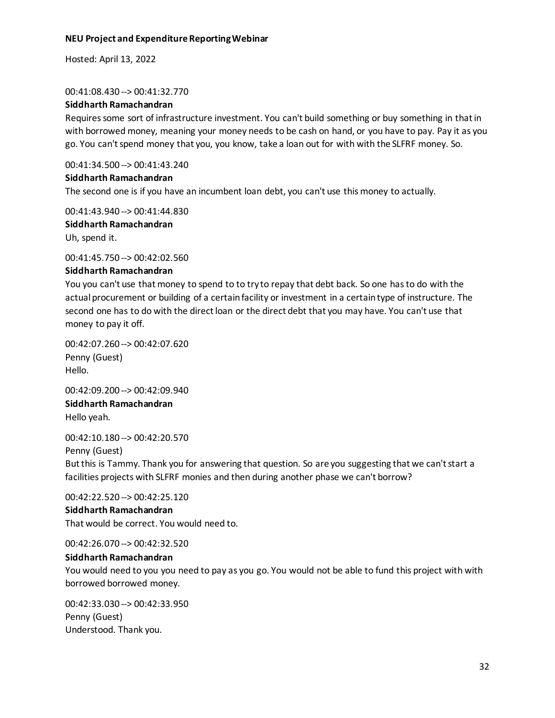Hosted: April 13, 2022

#### 00:41:08.430 --> 00:41:32.770

#### **Siddharth Ramachandran**

Requires some sort of infrastructure investment. You can't build something or buy something in that in with borrowed money, meaning your money needs to be cash on hand, or you have to pay. Pay it as you go. You can't spend money that you, you know, take a loan out for with with the SLFRF money. So.

00:41:34.500 --> 00:41:43.240

#### **Siddharth Ramachandran**

The second one is if you have an incumbent loan debt, you can't use this money to actually.

00:41:43.940 --> 00:41:44.830

**Siddharth Ramachandran** Uh, spend it.

00:41:45.750 --> 00:42:02.560

#### **Siddharth Ramachandran**

You you can't use that money to spend to to try to repay that debt back. So one has to do with the actual procurement or building of a certain facility or investment in a certain type of instructure. The second one has to do with the direct loan or the direct debt that you may have. You can't use that money to pay it off.

00:42:07.260 --> 00:42:07.620 Penny (Guest) Hello.

00:42:09.200 --> 00:42:09.940 **Siddharth Ramachandran** Hello yeah.

00:42:10.180 --> 00:42:20.570 Penny (Guest) But this is Tammy. Thank you for answering that question. So are you suggesting that we can't start a facilities projects with SLFRF monies and then during another phase we can't borrow?

00:42:22.520 --> 00:42:25.120

#### **Siddharth Ramachandran**

That would be correct. You would need to.

00:42:26.070 --> 00:42:32.520

#### **Siddharth Ramachandran**

You would need to you you need to pay as you go. You would not be able to fund this project with with borrowed borrowed money.

00:42:33.030 --> 00:42:33.950 Penny (Guest) Understood. Thank you.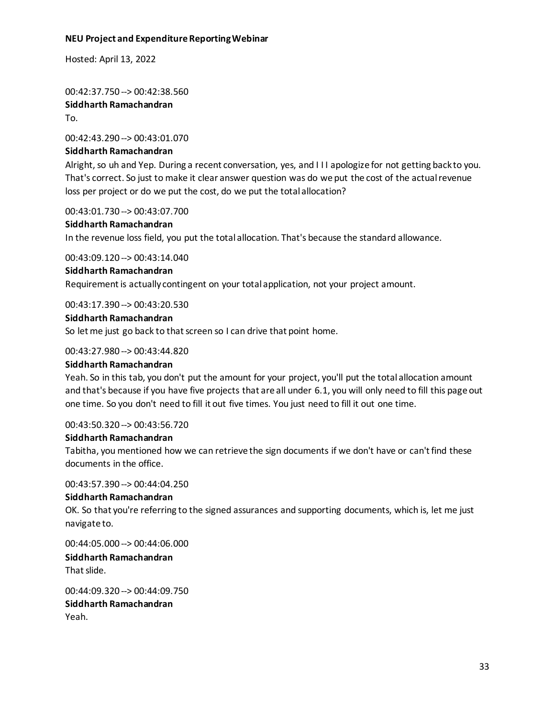Hosted: April 13, 2022

00:42:37.750 --> 00:42:38.560 **Siddharth Ramachandran** To.

00:42:43.290 --> 00:43:01.070

#### **Siddharth Ramachandran**

Alright, so uh and Yep. During a recent conversation, yes, and I I I apologize for not getting back to you. That's correct. So just to make it clear answer question was do we put the cost of the actual revenue loss per project or do we put the cost, do we put the total allocation?

00:43:01.730 --> 00:43:07.700

#### **Siddharth Ramachandran**

In the revenue loss field, you put the total allocation. That's because the standard allowance.

00:43:09.120 --> 00:43:14.040

#### **Siddharth Ramachandran**

Requirement is actually contingent on your total application, not your project amount.

00:43:17.390 --> 00:43:20.530

#### **Siddharth Ramachandran**

So let me just go back to that screen so I can drive that point home.

00:43:27.980 --> 00:43:44.820

#### **Siddharth Ramachandran**

Yeah. So in this tab, you don't put the amount for your project, you'll put the total allocation amount and that's because if you have five projects that are all under 6.1, you will only need to fill this page out one time. So you don't need to fill it out five times. You just need to fill it out one time.

00:43:50.320 --> 00:43:56.720

#### **Siddharth Ramachandran**

Tabitha, you mentioned how we can retrieve the sign documents if we don't have or can't find these documents in the office.

00:43:57.390 --> 00:44:04.250

#### **Siddharth Ramachandran**

OK. So that you're referring to the signed assurances and supporting documents, which is, let me just navigate to.

00:44:05.000 --> 00:44:06.000

**Siddharth Ramachandran** That slide.

00:44:09.320 --> 00:44:09.750 **Siddharth Ramachandran** Yeah.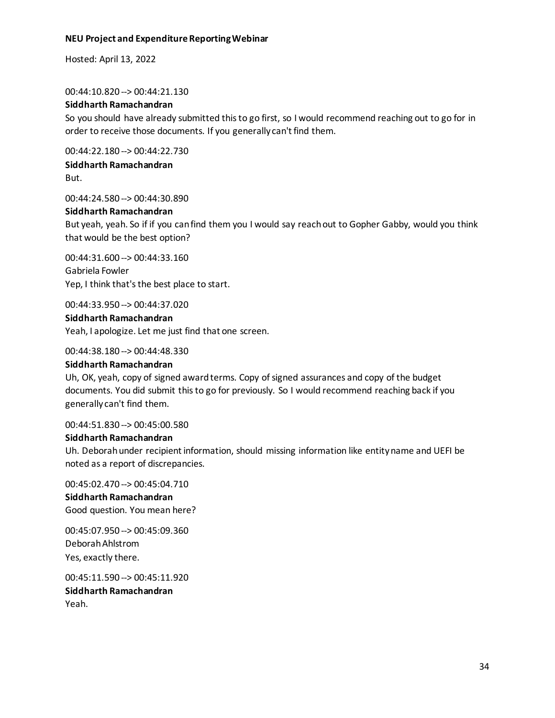Hosted: April 13, 2022

00:44:10.820 --> 00:44:21.130

# **Siddharth Ramachandran**

So you should have already submitted this to go first, so I would recommend reaching out to go for in order to receive those documents. If you generally can't find them.

00:44:22.180 --> 00:44:22.730

**Siddharth Ramachandran** But.

00:44:24.580 --> 00:44:30.890

# **Siddharth Ramachandran**

But yeah, yeah. So if if you can find them you I would say reach out to Gopher Gabby, would you think that would be the best option?

00:44:31.600 --> 00:44:33.160 Gabriela Fowler Yep, I think that's the best place to start.

00:44:33.950 --> 00:44:37.020

# **Siddharth Ramachandran**

Yeah, I apologize. Let me just find that one screen.

00:44:38.180 --> 00:44:48.330

# **Siddharth Ramachandran**

Uh, OK, yeah, copy of signed award terms. Copy of signed assurances and copy of the budget documents. You did submit this to go for previously. So I would recommend reaching back if you generally can't find them.

00:44:51.830 --> 00:45:00.580

#### **Siddharth Ramachandran**

Uh. Deborah under recipient information, should missing information like entity name and UEFI be noted as a report of discrepancies.

00:45:02.470 --> 00:45:04.710 **Siddharth Ramachandran** Good question. You mean here?

00:45:07.950 --> 00:45:09.360 Deborah Ahlstrom Yes, exactly there.

00:45:11.590 --> 00:45:11.920 **Siddharth Ramachandran** Yeah.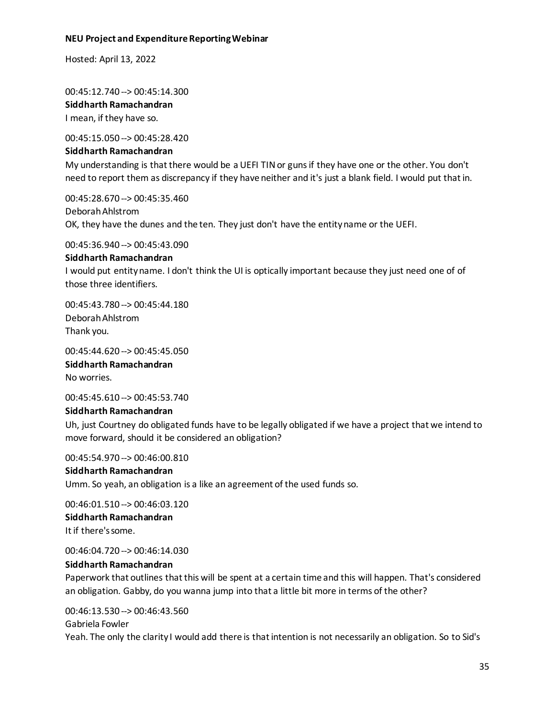Hosted: April 13, 2022

00:45:12.740 --> 00:45:14.300 **Siddharth Ramachandran** I mean, if they have so.

00:45:15.050 --> 00:45:28.420

#### **Siddharth Ramachandran**

My understanding is that there would be a UEFI TIN or guns if they have one or the other. You don't need to report them as discrepancy if they have neither and it's just a blank field. I would put that in.

00:45:28.670 --> 00:45:35.460 Deborah Ahlstrom OK, they have the dunes and the ten. They just don't have the entity name or the UEFI.

00:45:36.940 --> 00:45:43.090

#### **Siddharth Ramachandran**

I would put entity name. I don't think the UI is optically important because they just need one of of those three identifiers.

00:45:43.780 --> 00:45:44.180 Deborah Ahlstrom Thank you.

00:45:44.620 --> 00:45:45.050 **Siddharth Ramachandran** No worries.

00:45:45.610 --> 00:45:53.740

#### **Siddharth Ramachandran**

Uh, just Courtney do obligated funds have to be legally obligated if we have a project that we intend to move forward, should it be considered an obligation?

00:45:54.970 --> 00:46:00.810

# **Siddharth Ramachandran**

Umm. So yeah, an obligation is a like an agreement of the used funds so.

00:46:01.510 --> 00:46:03.120 **Siddharth Ramachandran** It if there's some.

00:46:04.720 --> 00:46:14.030

# **Siddharth Ramachandran**

Paperwork that outlines that this will be spent at a certain time and this will happen. That's considered an obligation. Gabby, do you wanna jump into that a little bit more in terms of the other?

# 00:46:13.530 --> 00:46:43.560

Gabriela Fowler

Yeah. The only the clarity I would add there is that intention is not necessarily an obligation. So to Sid's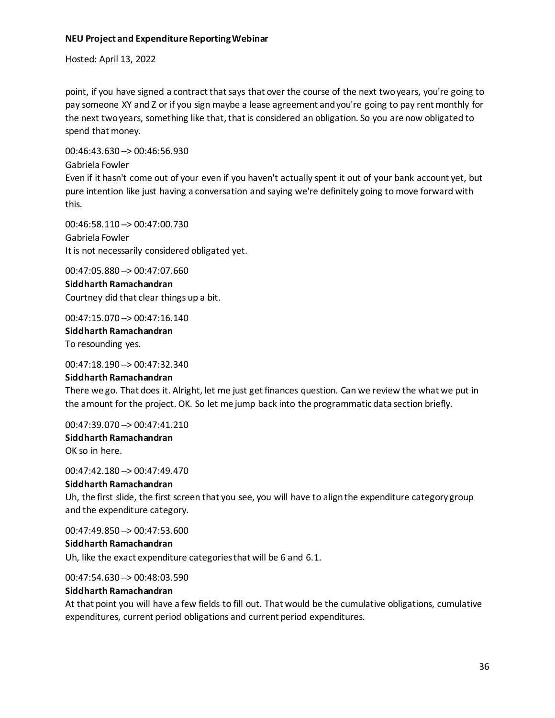Hosted: April 13, 2022

this.

point, if you have signed a contract that says that over the course of the next two years, you're going to pay someone XY and Z or if you sign maybe a lease agreement and you're going to pay rent monthly for the next two years, something like that, that is considered an obligation. So you are now obligated to spend that money.

00:46:43.630 --> 00:46:56.930 Gabriela Fowler Even if it hasn't come out of your even if you haven't actually spent it out of your bank account yet, but pure intention like just having a conversation and saying we're definitely going to move forward with

00:46:58.110 --> 00:47:00.730 Gabriela Fowler It is not necessarily considered obligated yet.

00:47:05.880 --> 00:47:07.660 **Siddharth Ramachandran** Courtney did that clear things up a bit.

00:47:15.070 --> 00:47:16.140 **Siddharth Ramachandran** To resounding yes.

00:47:18.190 --> 00:47:32.340

#### **Siddharth Ramachandran**

There we go. That does it. Alright, let me just get finances question. Can we review the what we put in the amount for the project. OK. So let me jump back into the programmatic data section briefly.

00:47:39.070 --> 00:47:41.210

**Siddharth Ramachandran** OK so in here.

00:47:42.180 --> 00:47:49.470

#### **Siddharth Ramachandran**

Uh, the first slide, the first screen that you see, you will have to align the expenditure category group and the expenditure category.

00:47:49.850 --> 00:47:53.600 **Siddharth Ramachandran**

Uh, like the exact expenditure categories that will be 6 and 6.1.

00:47:54.630 --> 00:48:03.590

#### **Siddharth Ramachandran**

At that point you will have a few fields to fill out. That would be the cumulative obligations, cumulative expenditures, current period obligations and current period expenditures.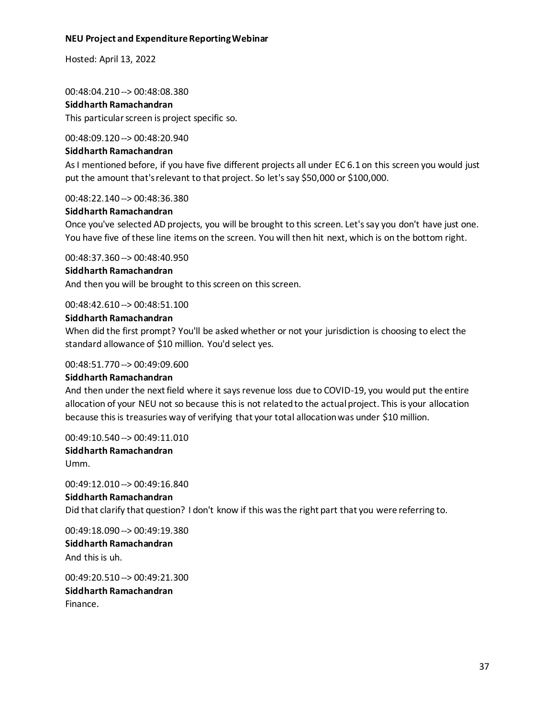Hosted: April 13, 2022

00:48:04.210 --> 00:48:08.380 **Siddharth Ramachandran**

This particular screen is project specific so.

#### 00:48:09.120 --> 00:48:20.940

#### **Siddharth Ramachandran**

As I mentioned before, if you have five different projects all under EC 6.1 on this screen you would just put the amount that's relevant to that project. So let's say \$50,000 or \$100,000.

00:48:22.140 --> 00:48:36.380

#### **Siddharth Ramachandran**

Once you've selected AD projects, you will be brought to this screen. Let's say you don't have just one. You have five of these line items on the screen. You will then hit next, which is on the bottom right.

00:48:37.360 --> 00:48:40.950

#### **Siddharth Ramachandran**

And then you will be brought to this screen on this screen.

00:48:42.610 --> 00:48:51.100

#### **Siddharth Ramachandran**

When did the first prompt? You'll be asked whether or not your jurisdiction is choosing to elect the standard allowance of \$10 million. You'd select yes.

#### 00:48:51.770 --> 00:49:09.600

#### **Siddharth Ramachandran**

And then under the next field where it says revenue loss due to COVID-19, you would put the entire allocation of your NEU not so because this is not related to the actual project. This is your allocation because this is treasuries way of verifying that your total allocation was under \$10 million.

00:49:10.540 --> 00:49:11.010

#### **Siddharth Ramachandran** Umm.

00:49:12.010 --> 00:49:16.840 **Siddharth Ramachandran** Did that clarify that question? I don't know if this was the right part that you were referring to.

00:49:18.090 --> 00:49:19.380 **Siddharth Ramachandran** And this is uh.

00:49:20.510 --> 00:49:21.300 **Siddharth Ramachandran** Finance.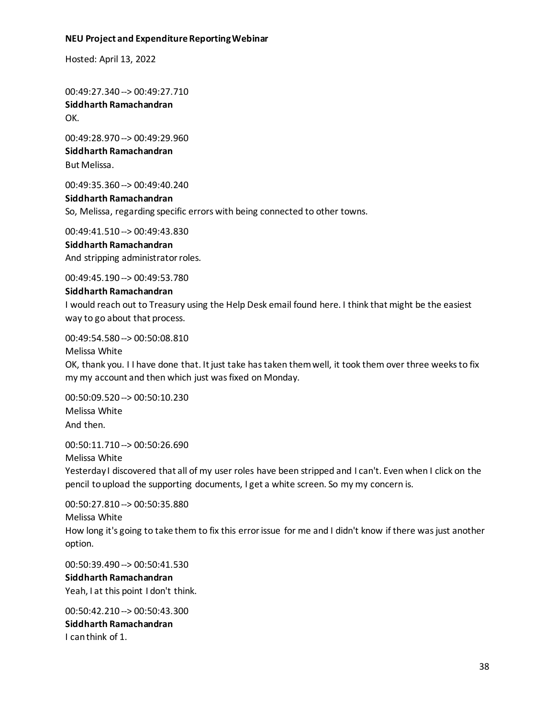Hosted: April 13, 2022

00:49:27.340 --> 00:49:27.710 **Siddharth Ramachandran** OK.

00:49:28.970 --> 00:49:29.960 **Siddharth Ramachandran** But Melissa.

00:49:35.360 --> 00:49:40.240

# **Siddharth Ramachandran** So, Melissa, regarding specific errors with being connected to other towns.

00:49:41.510 --> 00:49:43.830 **Siddharth Ramachandran** And stripping administrator roles.

00:49:45.190 --> 00:49:53.780

#### **Siddharth Ramachandran**

I would reach out to Treasury using the Help Desk email found here. I think that might be the easiest way to go about that process.

00:49:54.580 --> 00:50:08.810

Melissa White

OK, thank you. I I have done that. It just take has taken them well, it took them over three weeks to fix my my account and then which just was fixed on Monday.

00:50:09.520 --> 00:50:10.230 Melissa White And then.

00:50:11.710 --> 00:50:26.690 Melissa White Yesterday I discovered that all of my user roles have been stripped and I can't. Even when I click on the pencil to upload the supporting documents, I get a white screen. So my my concern is.

00:50:27.810 --> 00:50:35.880 Melissa White How long it's going to take them to fix this error issue for me and I didn't know if there was just another option.

00:50:39.490 --> 00:50:41.530 **Siddharth Ramachandran**

Yeah, I at this point I don't think.

00:50:42.210 --> 00:50:43.300 **Siddharth Ramachandran** I can think of 1.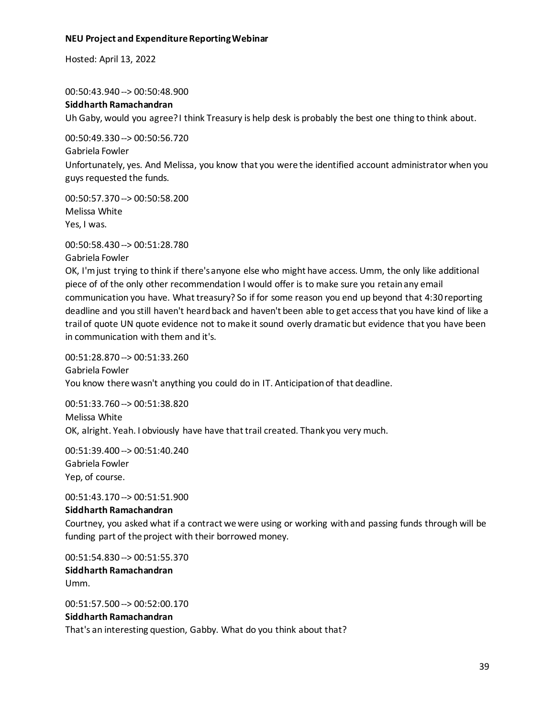Hosted: April 13, 2022

00:50:43.940 --> 00:50:48.900

#### **Siddharth Ramachandran**

Uh Gaby, would you agree? I think Treasury is help desk is probably the best one thing to think about.

00:50:49.330 --> 00:50:56.720 Gabriela Fowler Unfortunately, yes. And Melissa, you know that you were the identified account administrator when you guys requested the funds.

00:50:57.370 --> 00:50:58.200 Melissa White Yes, I was.

00:50:58.430 --> 00:51:28.780

Gabriela Fowler

OK, I'm just trying to think if there's anyone else who might have access. Umm, the only like additional piece of of the only other recommendation I would offer is to make sure you retain any email communication you have. What treasury? So if for some reason you end up beyond that 4:30 reporting deadline and you still haven't heard back and haven't been able to get access that you have kind of like a trail of quote UN quote evidence not to make it sound overly dramatic but evidence that you have been in communication with them and it's.

00:51:28.870 --> 00:51:33.260 Gabriela Fowler You know there wasn't anything you could do in IT. Anticipation of that deadline.

00:51:33.760 --> 00:51:38.820 Melissa White OK, alright. Yeah. I obviously have have that trail created. Thank you very much.

00:51:39.400 --> 00:51:40.240 Gabriela Fowler Yep, of course.

00:51:43.170 --> 00:51:51.900

#### **Siddharth Ramachandran**

Courtney, you asked what if a contract we were using or working with and passing funds through will be funding part of the project with their borrowed money.

00:51:54.830 --> 00:51:55.370 **Siddharth Ramachandran** Umm.

00:51:57.500 --> 00:52:00.170 **Siddharth Ramachandran** That's an interesting question, Gabby. What do you think about that?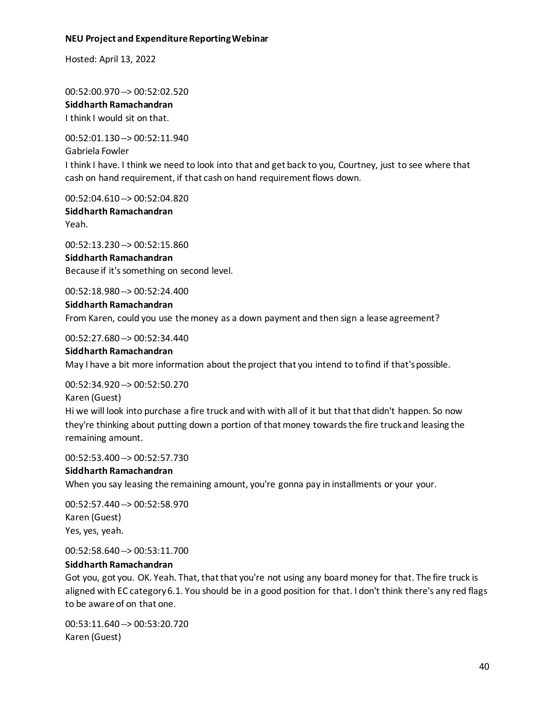Hosted: April 13, 2022

00:52:00.970 --> 00:52:02.520 **Siddharth Ramachandran** I think I would sit on that.

00:52:01.130 --> 00:52:11.940 Gabriela Fowler I think I have. I think we need to look into that and get back to you, Courtney, just to see where that cash on hand requirement, if that cash on hand requirement flows down.

00:52:04.610 --> 00:52:04.820 **Siddharth Ramachandran** Yeah.

00:52:13.230 --> 00:52:15.860 **Siddharth Ramachandran** Because if it's something on second level.

00:52:18.980 --> 00:52:24.400

#### **Siddharth Ramachandran**

From Karen, could you use the money as a down payment and then sign a lease agreement?

00:52:27.680 --> 00:52:34.440

#### **Siddharth Ramachandran**

May I have a bit more information about the project that you intend to to find if that's possible.

00:52:34.920 --> 00:52:50.270

Karen (Guest)

Hi we will look into purchase a fire truck and with with all of it but that that didn't happen. So now they're thinking about putting down a portion of that money towards the fire truck and leasing the remaining amount.

00:52:53.400 --> 00:52:57.730

# **Siddharth Ramachandran**

When you say leasing the remaining amount, you're gonna pay in installments or your your.

00:52:57.440 --> 00:52:58.970 Karen (Guest) Yes, yes, yeah.

00:52:58.640 --> 00:53:11.700

# **Siddharth Ramachandran**

Got you, got you. OK. Yeah. That, that that you're not using any board money for that. The fire truck is aligned with EC category 6.1. You should be in a good position for that. I don't think there's any red flags to be aware of on that one.

00:53:11.640 --> 00:53:20.720 Karen (Guest)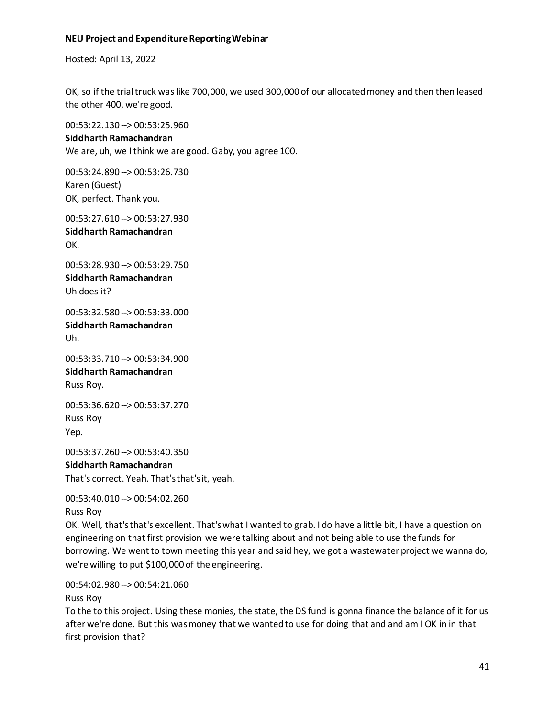Hosted: April 13, 2022

OK, so if the trial truck was like 700,000, we used 300,000 of our allocated money and then then leased the other 400, we're good.

00:53:22.130 --> 00:53:25.960

#### **Siddharth Ramachandran**

We are, uh, we I think we are good. Gaby, you agree 100.

00:53:24.890 --> 00:53:26.730 Karen (Guest) OK, perfect. Thank you.

00:53:27.610 --> 00:53:27.930

**Siddharth Ramachandran** OK.

00:53:28.930 --> 00:53:29.750 **Siddharth Ramachandran** Uh does it?

00:53:32.580 --> 00:53:33.000 **Siddharth Ramachandran** Uh.

00:53:33.710 --> 00:53:34.900 **Siddharth Ramachandran** Russ Roy.

00:53:36.620 --> 00:53:37.270 Russ Roy Yep.

00:53:37.260 --> 00:53:40.350

**Siddharth Ramachandran** That's correct. Yeah. That's that's it, yeah.

00:53:40.010 --> 00:54:02.260 Russ Roy

OK. Well, that's that's excellent. That's what I wanted to grab. I do have a little bit, I have a question on engineering on that first provision we were talking about and not being able to use the funds for borrowing. We went to town meeting this year and said hey, we got a wastewater project we wanna do, we're willing to put \$100,000 of the engineering.

00:54:02.980 --> 00:54:21.060

Russ Roy

To the to this project. Using these monies, the state, the DS fund is gonna finance the balance of it for us after we're done. But this was money that we wanted to use for doing that and and am I OK in in that first provision that?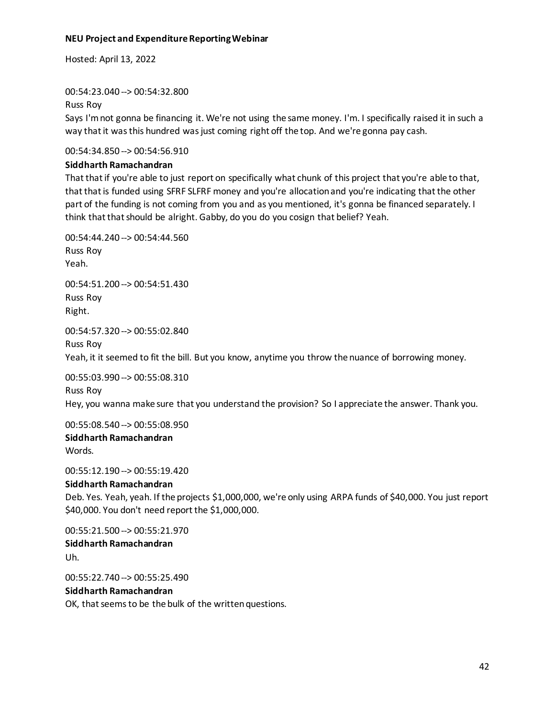Hosted: April 13, 2022

00:54:23.040 --> 00:54:32.800

Russ Roy

Says I'm not gonna be financing it. We're not using the same money. I'm. I specifically raised it in such a way that it was this hundred was just coming right off the top. And we're gonna pay cash.

00:54:34.850 --> 00:54:56.910

# **Siddharth Ramachandran**

That that if you're able to just report on specifically what chunk of this project that you're able to that, that that is funded using SFRF SLFRF money and you're allocation and you're indicating that the other part of the funding is not coming from you and as you mentioned, it's gonna be financed separately. I think that that should be alright. Gabby, do you do you cosign that belief? Yeah.

00:54:44.240 --> 00:54:44.560 Russ Roy Yeah. 00:54:51.200 --> 00:54:51.430 Russ Roy Right. 00:54:57.320 --> 00:55:02.840 Russ Roy

Yeah, it it seemed to fit the bill. But you know, anytime you throw the nuance of borrowing money.

00:55:03.990 --> 00:55:08.310

Russ Roy Hey, you wanna make sure that you understand the provision? So I appreciate the answer. Thank you.

00:55:08.540 --> 00:55:08.950

**Siddharth Ramachandran** Words.

00:55:12.190 --> 00:55:19.420 **Siddharth Ramachandran** Deb. Yes. Yeah, yeah. If the projects \$1,000,000, we're only using ARPA funds of \$40,000. You just report

00:55:21.500 --> 00:55:21.970 **Siddharth Ramachandran** Uh.

00:55:22.740 --> 00:55:25.490

# **Siddharth Ramachandran**

OK, that seems to be the bulk of the written questions.

\$40,000. You don't need report the \$1,000,000.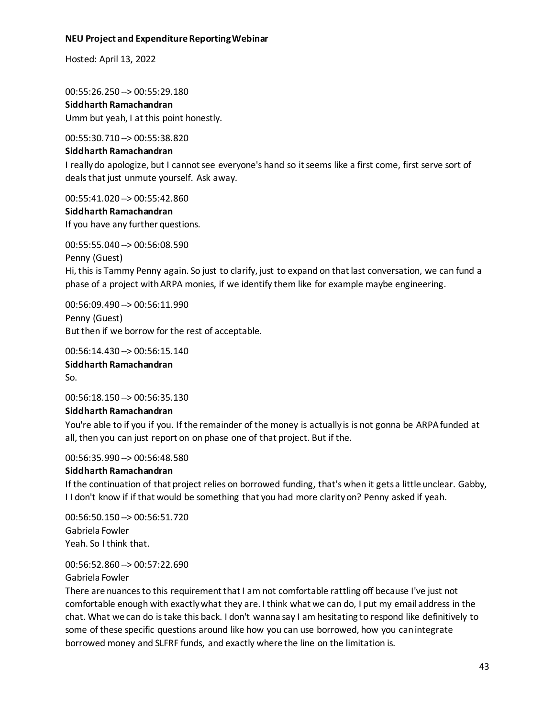Hosted: April 13, 2022

00:55:26.250 --> 00:55:29.180 **Siddharth Ramachandran** Umm but yeah, I at this point honestly.

00:55:30.710 --> 00:55:38.820

#### **Siddharth Ramachandran**

I really do apologize, but I cannot see everyone's hand so it seems like a first come, first serve sort of deals that just unmute yourself. Ask away.

00:55:41.020 --> 00:55:42.860

**Siddharth Ramachandran** If you have any further questions.

00:55:55.040 --> 00:56:08.590 Penny (Guest) Hi, this is Tammy Penny again. So just to clarify, just to expand on that last conversation, we can fund a phase of a project with ARPA monies, if we identify them like for example maybe engineering.

00:56:09.490 --> 00:56:11.990 Penny (Guest) But then if we borrow for the rest of acceptable.

00:56:14.430 --> 00:56:15.140 **Siddharth Ramachandran** So.

00:56:18.150 --> 00:56:35.130

#### **Siddharth Ramachandran**

You're able to if you if you. If the remainder of the money is actually is is not gonna be ARPA funded at all, then you can just report on on phase one of that project. But if the.

00:56:35.990 --> 00:56:48.580

#### **Siddharth Ramachandran**

If the continuation of that project relies on borrowed funding, that's when it gets a little unclear. Gabby, I I don't know if if that would be something that you had more clarity on? Penny asked if yeah.

00:56:50.150 --> 00:56:51.720 Gabriela Fowler Yeah. So I think that.

00:56:52.860 --> 00:57:22.690 Gabriela Fowler

There are nuances to this requirement that I am not comfortable rattling off because I've just not comfortable enough with exactly what they are. I think what we can do, I put my email address in the chat. What we can do is take this back. I don't wanna say I am hesitating to respond like definitively to some of these specific questions around like how you can use borrowed, how you can integrate borrowed money and SLFRF funds, and exactly where the line on the limitation is.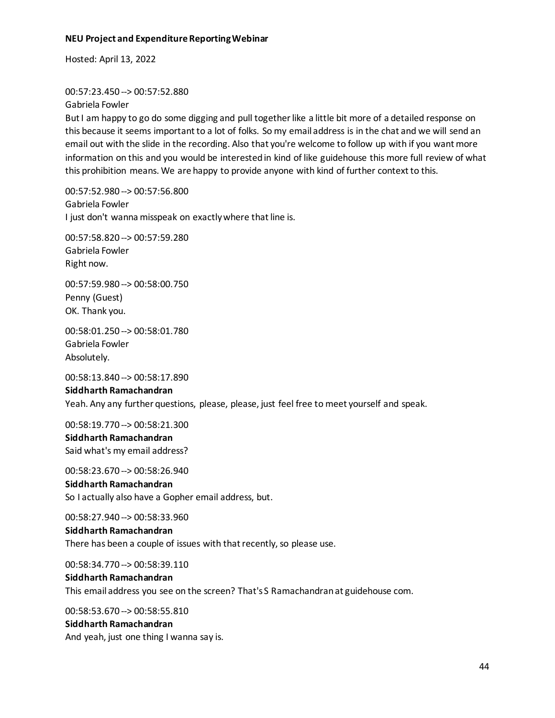Hosted: April 13, 2022

#### 00:57:23.450 --> 00:57:52.880

Gabriela Fowler

But I am happy to go do some digging and pull together like a little bit more of a detailed response on this because it seems important to a lot of folks. So my email address is in the chat and we will send an email out with the slide in the recording. Also that you're welcome to follow up with if you want more information on this and you would be interested in kind of like guidehouse this more full review of what this prohibition means. We are happy to provide anyone with kind of further context to this.

00:57:52.980 --> 00:57:56.800 Gabriela Fowler I just don't wanna misspeak on exactly where that line is.

00:57:58.820 --> 00:57:59.280 Gabriela Fowler Right now.

00:57:59.980 --> 00:58:00.750 Penny (Guest) OK. Thank you.

00:58:01.250 --> 00:58:01.780 Gabriela Fowler Absolutely.

00:58:13.840 --> 00:58:17.890

## **Siddharth Ramachandran** Yeah. Any any further questions, please, please, just feel free to meet yourself and speak.

00:58:19.770 --> 00:58:21.300

# **Siddharth Ramachandran** Said what's my email address?

00:58:23.670 --> 00:58:26.940 **Siddharth Ramachandran** So I actually also have a Gopher email address, but.

00:58:27.940 --> 00:58:33.960

# **Siddharth Ramachandran** There has been a couple of issues with that recently, so please use.

00:58:34.770 --> 00:58:39.110

#### **Siddharth Ramachandran**

This email address you see on the screen? That's S Ramachandran at guidehouse com.

00:58:53.670 --> 00:58:55.810 **Siddharth Ramachandran** And yeah, just one thing I wanna say is.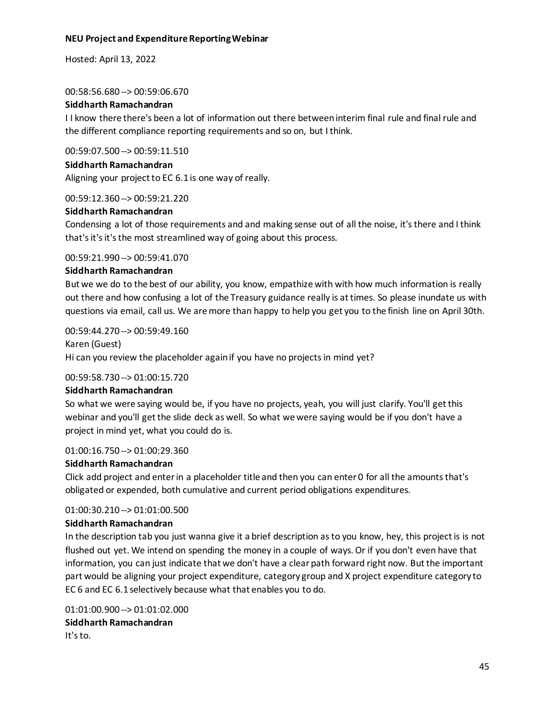Hosted: April 13, 2022

00:58:56.680 --> 00:59:06.670

#### **Siddharth Ramachandran**

I I know there there's been a lot of information out there between interim final rule and final rule and the different compliance reporting requirements and so on, but I think.

00:59:07.500 --> 00:59:11.510

#### **Siddharth Ramachandran**

Aligning your project to EC 6.1 is one way of really.

00:59:12.360 --> 00:59:21.220

#### **Siddharth Ramachandran**

Condensing a lot of those requirements and and making sense out of all the noise, it's there and I think that's it's it's the most streamlined way of going about this process.

#### 00:59:21.990 --> 00:59:41.070

#### **Siddharth Ramachandran**

But we we do to the best of our ability, you know, empathize with with how much information is really out there and how confusing a lot of the Treasury guidance really is at times. So please inundate us with questions via email, call us. We are more than happy to help you get you to the finish line on April 30th.

00:59:44.270 --> 00:59:49.160

Karen (Guest) Hi can you review the placeholder again if you have no projects in mind yet?

#### 00:59:58.730 --> 01:00:15.720

#### **Siddharth Ramachandran**

So what we were saying would be, if you have no projects, yeah, you will just clarify. You'll get this webinar and you'll get the slide deck as well. So what we were saying would be if you don't have a project in mind yet, what you could do is.

01:00:16.750 --> 01:00:29.360

#### **Siddharth Ramachandran**

Click add project and enter in a placeholder title and then you can enter 0 for all the amounts that's obligated or expended, both cumulative and current period obligations expenditures.

#### 01:00:30.210 --> 01:01:00.500

#### **Siddharth Ramachandran**

In the description tab you just wanna give it a brief description as to you know, hey, this project is is not flushed out yet. We intend on spending the money in a couple of ways. Or if you don't even have that information, you can just indicate that we don't have a clear path forward right now. But the important part would be aligning your project expenditure, category group and X project expenditure category to EC 6 and EC 6.1 selectively because what that enables you to do.

01:01:00.900 --> 01:01:02.000 **Siddharth Ramachandran** It's to.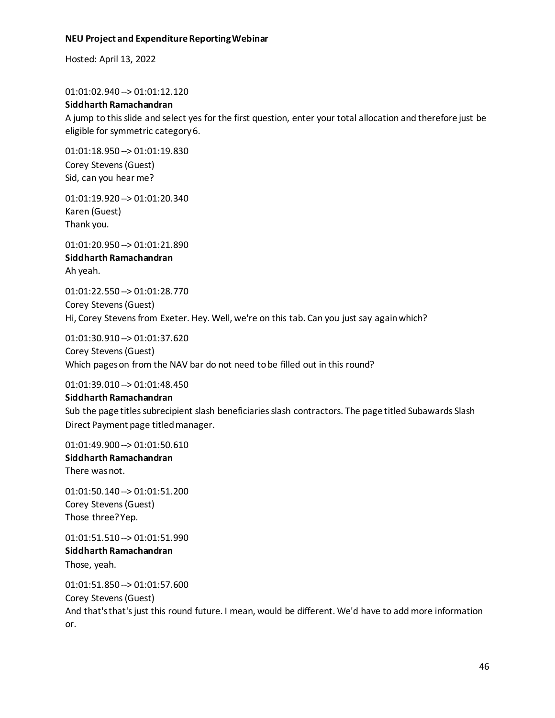Hosted: April 13, 2022

01:01:02.940 --> 01:01:12.120

#### **Siddharth Ramachandran**

A jump to this slide and select yes for the first question, enter your total allocation and therefore just be eligible for symmetric category 6.

01:01:18.950 --> 01:01:19.830 Corey Stevens (Guest) Sid, can you hear me?

01:01:19.920 --> 01:01:20.340 Karen (Guest) Thank you.

01:01:20.950 --> 01:01:21.890 **Siddharth Ramachandran** Ah yeah.

01:01:22.550 --> 01:01:28.770 Corey Stevens (Guest) Hi, Corey Stevens from Exeter. Hey. Well, we're on this tab. Can you just say again which?

01:01:30.910 --> 01:01:37.620 Corey Stevens (Guest) Which pages on from the NAV bar do not need to be filled out in this round?

01:01:39.010 --> 01:01:48.450

#### **Siddharth Ramachandran**

Sub the page titles subrecipient slash beneficiaries slash contractors. The page titled Subawards Slash Direct Payment page titled manager.

01:01:49.900 --> 01:01:50.610

**Siddharth Ramachandran** There was not.

01:01:50.140 --> 01:01:51.200 Corey Stevens (Guest) Those three? Yep.

01:01:51.510 --> 01:01:51.990 **Siddharth Ramachandran** Those, yeah.

01:01:51.850 --> 01:01:57.600 Corey Stevens (Guest) And that's that's just this round future. I mean, would be different. We'd have to add more information or.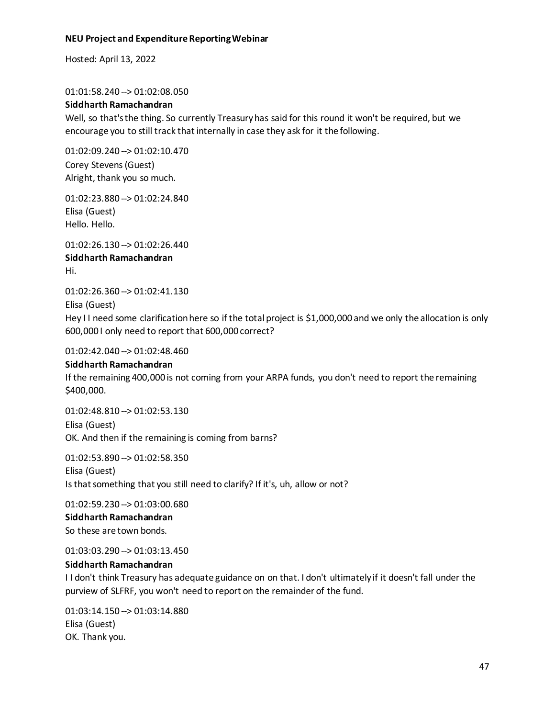Hosted: April 13, 2022

01:01:58.240 --> 01:02:08.050

#### **Siddharth Ramachandran**

Well, so that's the thing. So currently Treasury has said for this round it won't be required, but we encourage you to still track that internally in case they ask for it the following.

01:02:09.240 --> 01:02:10.470 Corey Stevens (Guest) Alright, thank you so much.

01:02:23.880 --> 01:02:24.840 Elisa (Guest) Hello. Hello.

01:02:26.130 --> 01:02:26.440 **Siddharth Ramachandran** Hi.

01:02:26.360 --> 01:02:41.130 Elisa (Guest)

Hey I I need some clarification here so if the total project is \$1,000,000 and we only the allocation is only 600,000 I only need to report that 600,000 correct?

01:02:42.040 --> 01:02:48.460

# **Siddharth Ramachandran**

If the remaining 400,000 is not coming from your ARPA funds, you don't need to report the remaining \$400,000.

01:02:48.810 --> 01:02:53.130 Elisa (Guest) OK. And then if the remaining is coming from barns?

01:02:53.890 --> 01:02:58.350 Elisa (Guest) Is that something that you still need to clarify? If it's, uh, allow or not?

01:02:59.230 --> 01:03:00.680 **Siddharth Ramachandran** So these are town bonds.

01:03:03.290 --> 01:03:13.450

# **Siddharth Ramachandran**

I I don't think Treasury has adequate guidance on on that. I don't ultimately if it doesn't fall under the purview of SLFRF, you won't need to report on the remainder of the fund.

01:03:14.150 --> 01:03:14.880 Elisa (Guest) OK. Thank you.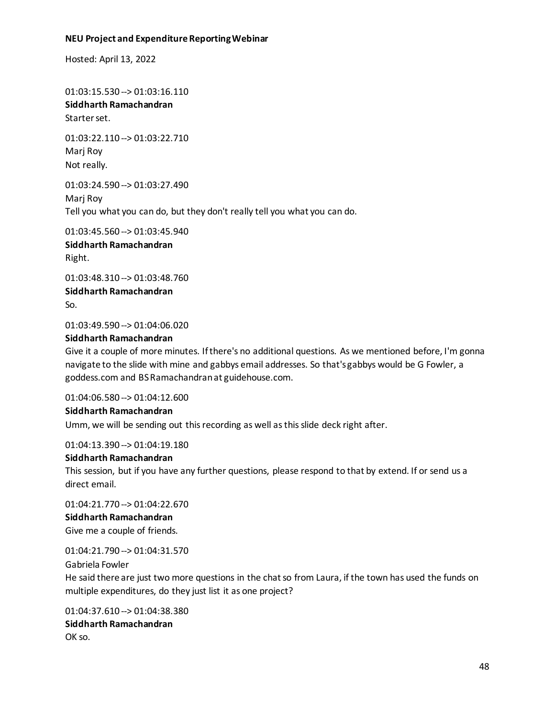Hosted: April 13, 2022

01:03:15.530 --> 01:03:16.110 **Siddharth Ramachandran** Starter set.

01:03:22.110 --> 01:03:22.710 Marj Roy Not really.

01:03:24.590 --> 01:03:27.490 Marj Roy Tell you what you can do, but they don't really tell you what you can do.

01:03:45.560 --> 01:03:45.940 **Siddharth Ramachandran** Right.

01:03:48.310 --> 01:03:48.760 **Siddharth Ramachandran** So.

01:03:49.590 --> 01:04:06.020

#### **Siddharth Ramachandran**

Give it a couple of more minutes. If there's no additional questions. As we mentioned before, I'm gonna navigate to the slide with mine and gabbys email addresses. So that's gabbys would be G Fowler, a goddess.com and BS Ramachandran at guidehouse.com.

01:04:06.580 --> 01:04:12.600

**Siddharth Ramachandran** Umm, we will be sending out this recording as well asthis slide deck right after.

01:04:13.390 --> 01:04:19.180

#### **Siddharth Ramachandran**

This session, but if you have any further questions, please respond to that by extend. If or send us a direct email.

01:04:21.770 --> 01:04:22.670 **Siddharth Ramachandran** Give me a couple of friends.

01:04:21.790 --> 01:04:31.570 Gabriela Fowler He said there are just two more questions in the chat so from Laura, if the town has used the funds on multiple expenditures, do they just list it as one project?

01:04:37.610 --> 01:04:38.380 **Siddharth Ramachandran** OK so.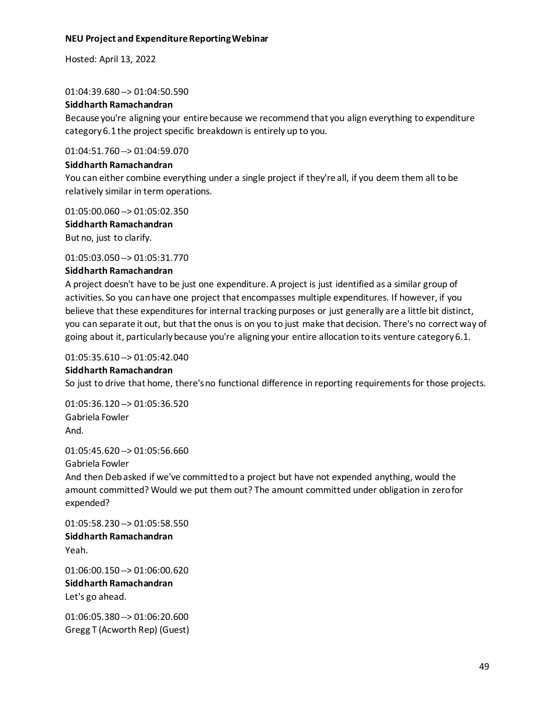Hosted: April 13, 2022

01:04:39.680 --> 01:04:50.590

#### **Siddharth Ramachandran**

Because you're aligning your entire because we recommend that you align everything to expenditure category 6.1 the project specific breakdown is entirely up to you.

01:04:51.760 --> 01:04:59.070

#### **Siddharth Ramachandran**

You can either combine everything under a single project if they're all, if you deem them all to be relatively similar in term operations.

01:05:00.060 --> 01:05:02.350

**Siddharth Ramachandran** But no, just to clarify.

01:05:03.050 --> 01:05:31.770

#### **Siddharth Ramachandran**

A project doesn't have to be just one expenditure. A project is just identified as a similar group of activities. So you can have one project that encompasses multiple expenditures. If however, if you believe that these expenditures for internal tracking purposes or just generally are a little bit distinct, you can separate it out, but that the onus is on you to just make that decision. There's no correct way of going about it, particularlybecause you're aligning your entire allocation to its venture category 6.1.

# 01:05:35.610 --> 01:05:42.040

#### **Siddharth Ramachandran**

So just to drive that home, there's no functional difference in reporting requirements for those projects.

01:05:36.120 --> 01:05:36.520 Gabriela Fowler And.

01:05:45.620 --> 01:05:56.660

Gabriela Fowler And then Deb asked if we've committed to a project but have not expended anything, would the amount committed? Would we put them out? The amount committed under obligation in zero for expended?

01:05:58.230 --> 01:05:58.550 **Siddharth Ramachandran** Yeah.

01:06:00.150 --> 01:06:00.620 **Siddharth Ramachandran** Let's go ahead.

01:06:05.380 --> 01:06:20.600 Gregg T (Acworth Rep) (Guest)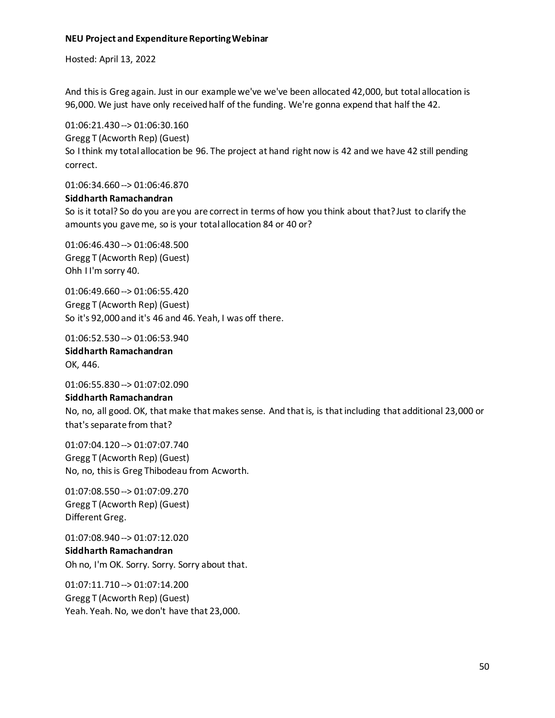Hosted: April 13, 2022

And this is Greg again. Just in our example we've we've been allocated 42,000, but total allocation is 96,000. We just have only received half of the funding. We're gonna expend that half the 42.

01:06:21.430 --> 01:06:30.160 Gregg T (Acworth Rep) (Guest) So I think my total allocation be 96. The project at hand right now is 42 and we have 42 still pending correct.

01:06:34.660 --> 01:06:46.870

#### **Siddharth Ramachandran**

So is it total? So do you are you are correct in terms of how you think about that? Just to clarify the amounts you gave me, so is your total allocation 84 or 40 or?

01:06:46.430 --> 01:06:48.500 Gregg T (Acworth Rep) (Guest) Ohh I I'm sorry 40.

01:06:49.660 --> 01:06:55.420 Gregg T (Acworth Rep) (Guest) So it's 92,000 and it's 46 and 46. Yeah, I was off there.

01:06:52.530 --> 01:06:53.940

**Siddharth Ramachandran** OK, 446.

01:06:55.830 --> 01:07:02.090

#### **Siddharth Ramachandran**

No, no, all good. OK, that make that makes sense. And that is, is that including that additional 23,000 or that's separate from that?

01:07:04.120 --> 01:07:07.740 Gregg T (Acworth Rep) (Guest) No, no, this is Greg Thibodeau from Acworth.

01:07:08.550 --> 01:07:09.270 Gregg T (Acworth Rep) (Guest) Different Greg.

01:07:08.940 --> 01:07:12.020 **Siddharth Ramachandran** Oh no, I'm OK. Sorry. Sorry. Sorry about that.

01:07:11.710 --> 01:07:14.200 Gregg T (Acworth Rep) (Guest) Yeah. Yeah. No, we don't have that 23,000.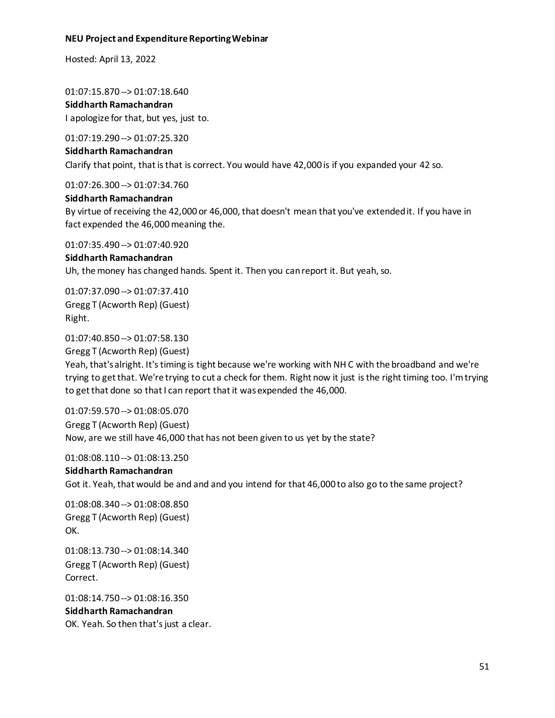Hosted: April 13, 2022

01:07:15.870 --> 01:07:18.640

**Siddharth Ramachandran** I apologize for that, but yes, just to.

01:07:19.290 --> 01:07:25.320

#### **Siddharth Ramachandran**

Clarify that point, that is that is correct. You would have 42,000 is if you expanded your 42 so.

01:07:26.300 --> 01:07:34.760

# **Siddharth Ramachandran**

By virtue of receiving the 42,000 or 46,000, that doesn't mean that you've extended it. If you have in fact expended the 46,000 meaning the.

01:07:35.490 --> 01:07:40.920

# **Siddharth Ramachandran**

Uh, the money has changed hands. Spent it. Then you can report it. But yeah, so.

01:07:37.090 --> 01:07:37.410 Gregg T (Acworth Rep) (Guest) Right.

01:07:40.850 --> 01:07:58.130

Gregg T (Acworth Rep) (Guest)

Yeah, that's alright. It's timing is tight because we're working with NH C with the broadband and we're trying to get that. We're trying to cut a check for them. Right now it just is the right timing too. I'm trying to get that done so that I can report that it was expended the 46,000.

01:07:59.570 --> 01:08:05.070 Gregg T (Acworth Rep) (Guest) Now, are we still have 46,000 that has not been given to us yet by the state?

01:08:08.110 --> 01:08:13.250

# **Siddharth Ramachandran** Got it. Yeah, that would be and and and you intend for that 46,000 to also go to the same project?

01:08:08.340 --> 01:08:08.850 Gregg T (Acworth Rep) (Guest) OK.

01:08:13.730 --> 01:08:14.340 Gregg T (Acworth Rep) (Guest) Correct.

01:08:14.750 --> 01:08:16.350 **Siddharth Ramachandran** OK. Yeah. So then that's just a clear.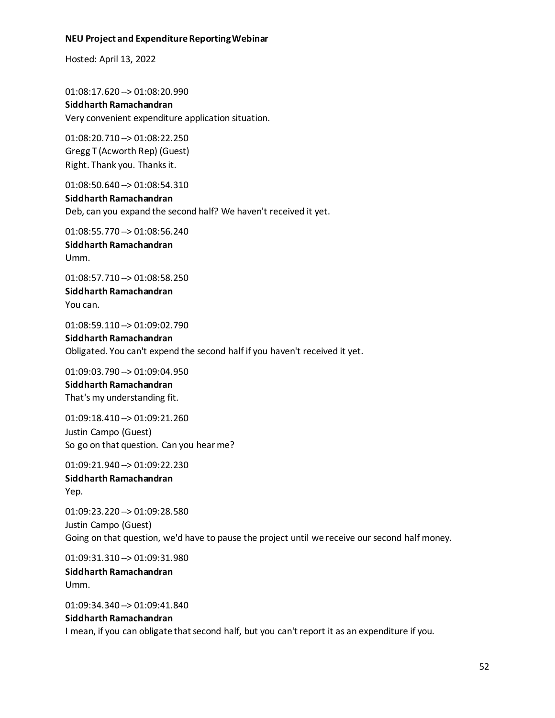Hosted: April 13, 2022

01:08:17.620 --> 01:08:20.990 **Siddharth Ramachandran** Very convenient expenditure application situation.

01:08:20.710 --> 01:08:22.250 Gregg T (Acworth Rep) (Guest) Right. Thank you. Thanks it.

01:08:50.640 --> 01:08:54.310 **Siddharth Ramachandran** Deb, can you expand the second half? We haven't received it yet.

01:08:55.770 --> 01:08:56.240 **Siddharth Ramachandran** Umm.

01:08:57.710 --> 01:08:58.250 **Siddharth Ramachandran** You can.

01:08:59.110 --> 01:09:02.790 **Siddharth Ramachandran** Obligated. You can't expend the second half if you haven't received it yet.

01:09:03.790 --> 01:09:04.950 **Siddharth Ramachandran** That's my understanding fit.

01:09:18.410 --> 01:09:21.260 Justin Campo (Guest) So go on that question. Can you hear me?

01:09:21.940 --> 01:09:22.230 **Siddharth Ramachandran** Yep.

01:09:23.220 --> 01:09:28.580 Justin Campo (Guest) Going on that question, we'd have to pause the project until we receive our second half money.

01:09:31.310 --> 01:09:31.980 **Siddharth Ramachandran** Umm.

01:09:34.340 --> 01:09:41.840 **Siddharth Ramachandran** I mean, if you can obligate that second half, but you can't report it as an expenditure if you.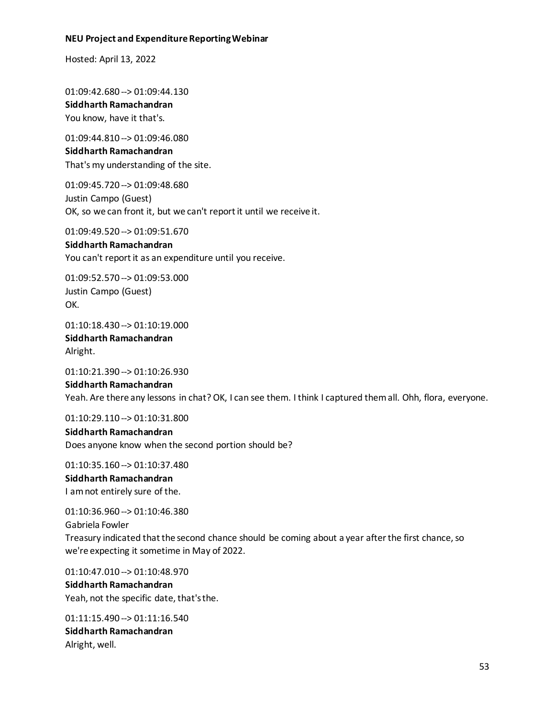Hosted: April 13, 2022

01:09:42.680 --> 01:09:44.130 **Siddharth Ramachandran** You know, have it that's.

01:09:44.810 --> 01:09:46.080 **Siddharth Ramachandran** That's my understanding of the site.

01:09:45.720 --> 01:09:48.680 Justin Campo (Guest) OK, so we can front it, but we can't report it until we receive it.

01:09:49.520 --> 01:09:51.670 **Siddharth Ramachandran** You can't report it as an expenditure until you receive.

01:09:52.570 --> 01:09:53.000 Justin Campo (Guest) OK.

01:10:18.430 --> 01:10:19.000 **Siddharth Ramachandran** Alright.

01:10:21.390 --> 01:10:26.930 **Siddharth Ramachandran** Yeah. Are there any lessons in chat? OK, I can see them. I think I captured them all. Ohh, flora, everyone.

01:10:29.110 --> 01:10:31.800

**Siddharth Ramachandran** Does anyone know when the second portion should be?

01:10:35.160 --> 01:10:37.480 **Siddharth Ramachandran** I am not entirely sure of the.

01:10:36.960 --> 01:10:46.380 Gabriela Fowler Treasury indicated that the second chance should be coming about a year after the first chance, so we're expecting it sometime in May of 2022.

01:10:47.010 --> 01:10:48.970

**Siddharth Ramachandran** Yeah, not the specific date, that's the.

01:11:15.490 --> 01:11:16.540 **Siddharth Ramachandran** Alright, well.